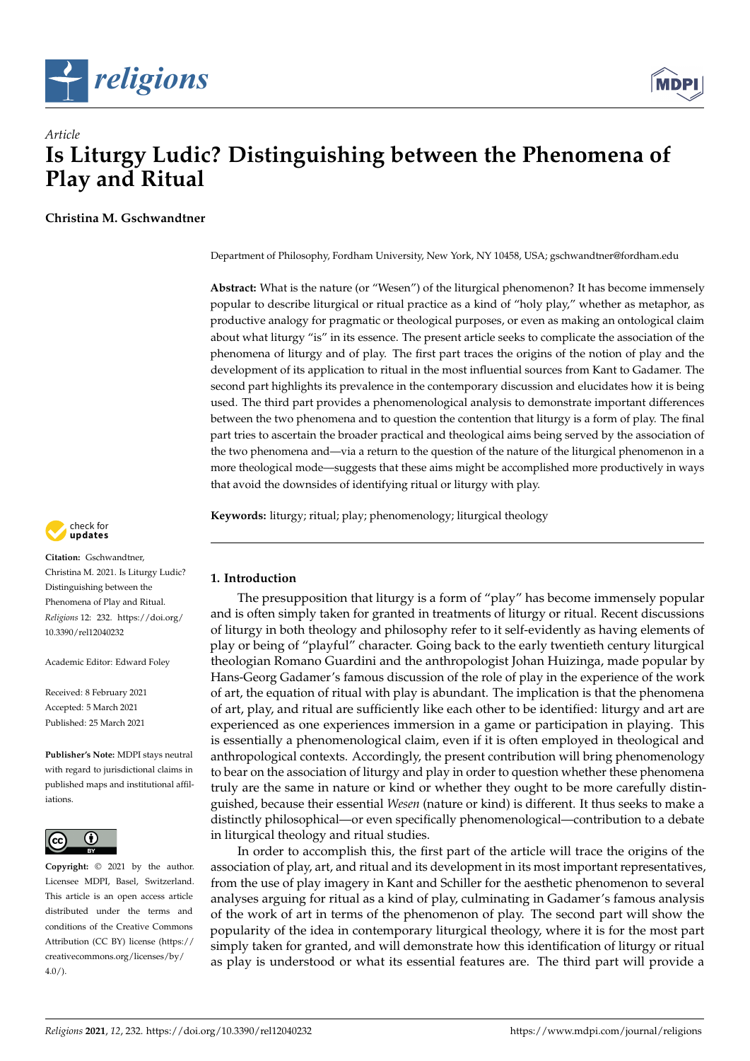



**Christina M. Gschwandtner**

Department of Philosophy, Fordham University, New York, NY 10458, USA; gschwandtner@fordham.edu

**Abstract:** What is the nature (or "Wesen") of the liturgical phenomenon? It has become immensely popular to describe liturgical or ritual practice as a kind of "holy play," whether as metaphor, as productive analogy for pragmatic or theological purposes, or even as making an ontological claim about what liturgy "is" in its essence. The present article seeks to complicate the association of the phenomena of liturgy and of play. The first part traces the origins of the notion of play and the development of its application to ritual in the most influential sources from Kant to Gadamer. The second part highlights its prevalence in the contemporary discussion and elucidates how it is being used. The third part provides a phenomenological analysis to demonstrate important differences between the two phenomena and to question the contention that liturgy is a form of play. The final part tries to ascertain the broader practical and theological aims being served by the association of the two phenomena and—via a return to the question of the nature of the liturgical phenomenon in a more theological mode—suggests that these aims might be accomplished more productively in ways that avoid the downsides of identifying ritual or liturgy with play.

**Keywords:** liturgy; ritual; play; phenomenology; liturgical theology



**Citation:** Gschwandtner, Christina M. 2021. Is Liturgy Ludic? Distinguishing between the Phenomena of Play and Ritual. *Religions* 12: 232. [https://doi.org/](https://doi.org/10.3390/rel12040232) [10.3390/rel12040232](https://doi.org/10.3390/rel12040232)

Academic Editor: Edward Foley

Received: 8 February 2021 Accepted: 5 March 2021 Published: 25 March 2021

**Publisher's Note:** MDPI stays neutral with regard to jurisdictional claims in published maps and institutional affiliations.



**Copyright:** © 2021 by the author. Licensee MDPI, Basel, Switzerland. This article is an open access article distributed under the terms and conditions of the Creative Commons Attribution (CC BY) license (https:/[/](https://creativecommons.org/licenses/by/4.0/) [creativecommons.org/licenses/by/](https://creativecommons.org/licenses/by/4.0/)  $4.0/$ ).

## **1. Introduction**

The presupposition that liturgy is a form of "play" has become immensely popular and is often simply taken for granted in treatments of liturgy or ritual. Recent discussions of liturgy in both theology and philosophy refer to it self-evidently as having elements of play or being of "playful" character. Going back to the early twentieth century liturgical theologian Romano Guardini and the anthropologist Johan Huizinga, made popular by Hans-Georg Gadamer's famous discussion of the role of play in the experience of the work of art, the equation of ritual with play is abundant. The implication is that the phenomena of art, play, and ritual are sufficiently like each other to be identified: liturgy and art are experienced as one experiences immersion in a game or participation in playing. This is essentially a phenomenological claim, even if it is often employed in theological and anthropological contexts. Accordingly, the present contribution will bring phenomenology to bear on the association of liturgy and play in order to question whether these phenomena truly are the same in nature or kind or whether they ought to be more carefully distinguished, because their essential *Wesen* (nature or kind) is different. It thus seeks to make a distinctly philosophical—or even specifically phenomenological—contribution to a debate in liturgical theology and ritual studies.

In order to accomplish this, the first part of the article will trace the origins of the association of play, art, and ritual and its development in its most important representatives, from the use of play imagery in Kant and Schiller for the aesthetic phenomenon to several analyses arguing for ritual as a kind of play, culminating in Gadamer's famous analysis of the work of art in terms of the phenomenon of play. The second part will show the popularity of the idea in contemporary liturgical theology, where it is for the most part simply taken for granted, and will demonstrate how this identification of liturgy or ritual as play is understood or what its essential features are. The third part will provide a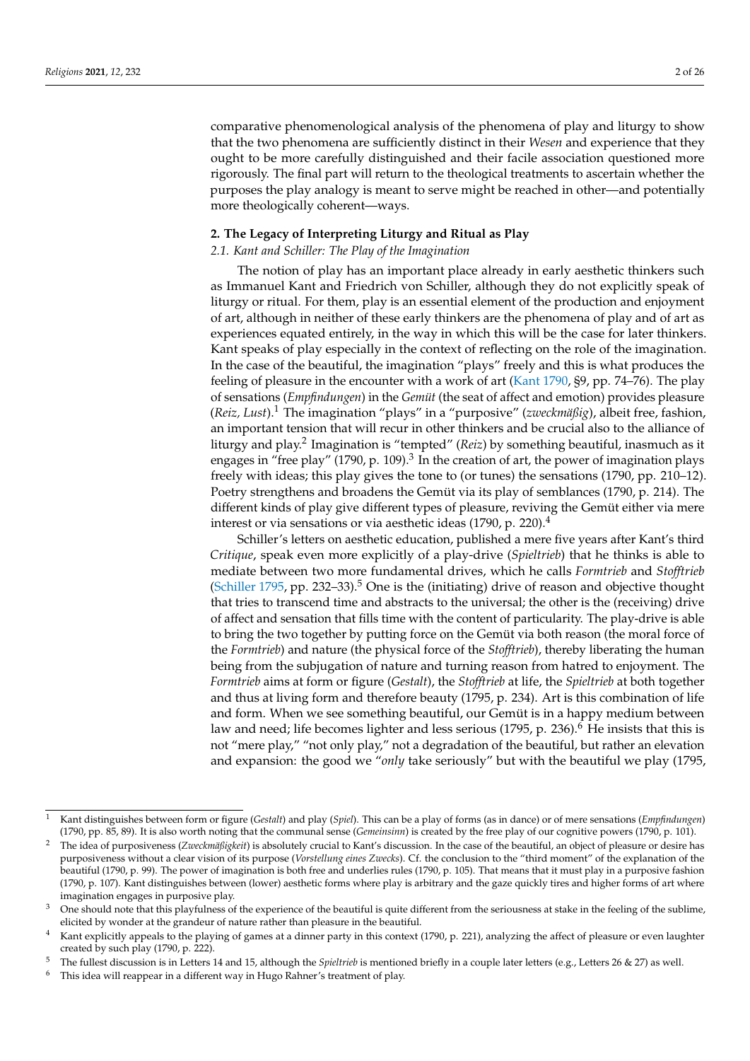comparative phenomenological analysis of the phenomena of play and liturgy to show that the two phenomena are sufficiently distinct in their *Wesen* and experience that they ought to be more carefully distinguished and their facile association questioned more rigorously. The final part will return to the theological treatments to ascertain whether the purposes the play analogy is meant to serve might be reached in other—and potentially more theologically coherent—ways.

## **2. The Legacy of Interpreting Liturgy and Ritual as Play**

#### *2.1. Kant and Schiller: The Play of the Imagination*

The notion of play has an important place already in early aesthetic thinkers such as Immanuel Kant and Friedrich von Schiller, although they do not explicitly speak of liturgy or ritual. For them, play is an essential element of the production and enjoyment of art, although in neither of these early thinkers are the phenomena of play and of art as experiences equated entirely, in the way in which this will be the case for later thinkers. Kant speaks of play especially in the context of reflecting on the role of the imagination. In the case of the beautiful, the imagination "plays" freely and this is what produces the feeling of pleasure in the encounter with a work of art [\(Kant](#page-24-0) [1790,](#page-24-0) §9, pp. 74–76). The play of sensations (*Empfindungen*) in the *Gemüt* (the seat of affect and emotion) provides pleasure (*Reiz, Lust*).<sup>1</sup> The imagination "plays" in a "purposive" (*zweckmäßig*), albeit free, fashion, an important tension that will recur in other thinkers and be crucial also to the alliance of liturgy and play.<sup>2</sup> Imagination is "tempted" (*Reiz*) by something beautiful, inasmuch as it engages in "free play" (1790, p. 109).<sup>3</sup> In the creation of art, the power of imagination plays freely with ideas; this play gives the tone to (or tunes) the sensations (1790, pp. 210–12). Poetry strengthens and broadens the Gemüt via its play of semblances (1790, p. 214). The different kinds of play give different types of pleasure, reviving the Gemüt either via mere interest or via sensations or via aesthetic ideas (1790, p. 220).<sup>4</sup>

Schiller's letters on aesthetic education, published a mere five years after Kant's third *Critique*, speak even more explicitly of a play-drive (*Spieltrieb*) that he thinks is able to mediate between two more fundamental drives, which he calls *Formtrieb* and *Stofftrieb* [\(Schiller](#page-25-0) [1795,](#page-25-0) pp. 232–33).<sup>5</sup> One is the (initiating) drive of reason and objective thought that tries to transcend time and abstracts to the universal; the other is the (receiving) drive of affect and sensation that fills time with the content of particularity. The play-drive is able to bring the two together by putting force on the Gemüt via both reason (the moral force of the *Formtrieb*) and nature (the physical force of the *Stofftrieb*), thereby liberating the human being from the subjugation of nature and turning reason from hatred to enjoyment. The *Formtrieb* aims at form or figure (*Gestalt*), the *Stofftrieb* at life, the *Spieltrieb* at both together and thus at living form and therefore beauty (1795, p. 234). Art is this combination of life and form. When we see something beautiful, our Gemüt is in a happy medium between law and need; life becomes lighter and less serious  $(1795, p. 236)^6$  He insists that this is not "mere play," "not only play," not a degradation of the beautiful, but rather an elevation and expansion: the good we "*only* take seriously" but with the beautiful we play (1795,

<sup>1</sup> Kant distinguishes between form or figure (*Gestalt*) and play (*Spiel*). This can be a play of forms (as in dance) or of mere sensations (*Empfindungen*) (1790, pp. 85, 89). It is also worth noting that the communal sense (*Gemeinsinn*) is created by the free play of our cognitive powers (1790, p. 101).

<sup>2</sup> The idea of purposiveness (*Zweckmäßigkeit*) is absolutely crucial to Kant's discussion. In the case of the beautiful, an object of pleasure or desire has purposiveness without a clear vision of its purpose (*Vorstellung eines Zwecks*). Cf. the conclusion to the "third moment" of the explanation of the beautiful (1790, p. 99). The power of imagination is both free and underlies rules (1790, p. 105). That means that it must play in a purposive fashion (1790, p. 107). Kant distinguishes between (lower) aesthetic forms where play is arbitrary and the gaze quickly tires and higher forms of art where imagination engages in purposive play.

 $3$  One should note that this playfulness of the experience of the beautiful is quite different from the seriousness at stake in the feeling of the sublime, elicited by wonder at the grandeur of nature rather than pleasure in the beautiful.

Kant explicitly appeals to the playing of games at a dinner party in this context (1790, p. 221), analyzing the affect of pleasure or even laughter created by such play (1790, p. 222).

<sup>5</sup> The fullest discussion is in Letters 14 and 15, although the *Spieltrieb* is mentioned briefly in a couple later letters (e.g., Letters 26 & 27) as well.

This idea will reappear in a different way in Hugo Rahner's treatment of play.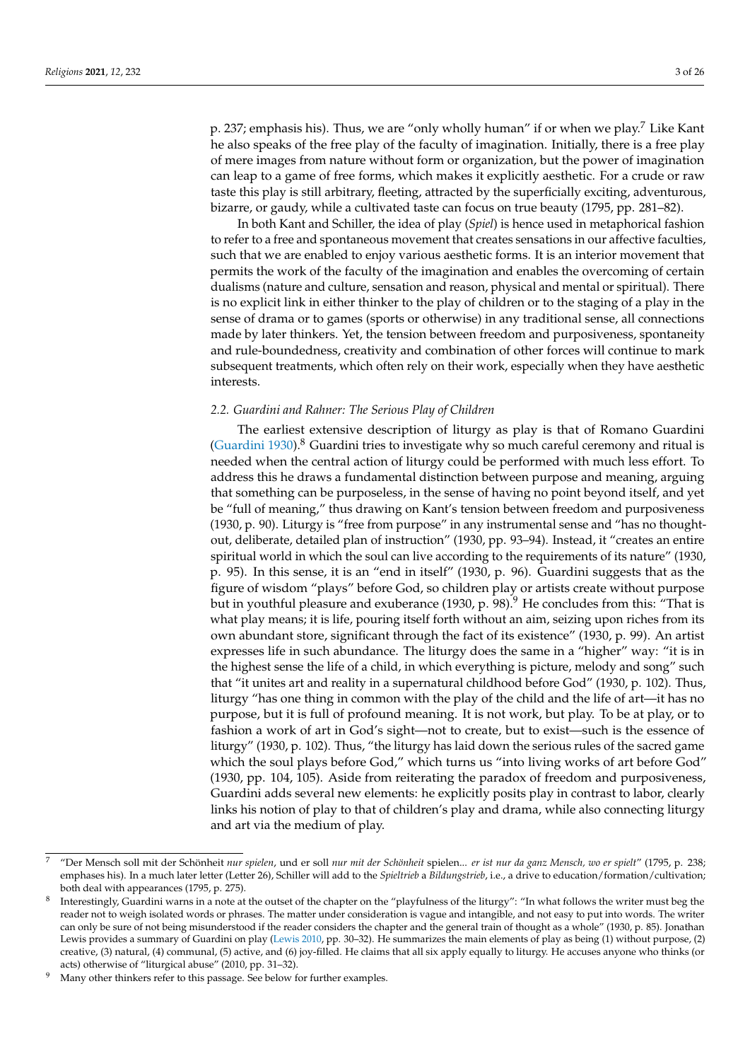p. 237; emphasis his). Thus, we are "only wholly human" if or when we play.<sup>7</sup> Like Kant he also speaks of the free play of the faculty of imagination. Initially, there is a free play of mere images from nature without form or organization, but the power of imagination can leap to a game of free forms, which makes it explicitly aesthetic. For a crude or raw taste this play is still arbitrary, fleeting, attracted by the superficially exciting, adventurous, bizarre, or gaudy, while a cultivated taste can focus on true beauty (1795, pp. 281–82).

In both Kant and Schiller, the idea of play (*Spiel*) is hence used in metaphorical fashion to refer to a free and spontaneous movement that creates sensations in our affective faculties, such that we are enabled to enjoy various aesthetic forms. It is an interior movement that permits the work of the faculty of the imagination and enables the overcoming of certain dualisms (nature and culture, sensation and reason, physical and mental or spiritual). There is no explicit link in either thinker to the play of children or to the staging of a play in the sense of drama or to games (sports or otherwise) in any traditional sense, all connections made by later thinkers. Yet, the tension between freedom and purposiveness, spontaneity and rule-boundedness, creativity and combination of other forces will continue to mark subsequent treatments, which often rely on their work, especially when they have aesthetic interests.

#### *2.2. Guardini and Rahner: The Serious Play of Children*

The earliest extensive description of liturgy as play is that of Romano Guardini [\(Guardini](#page-24-1) [1930\)](#page-24-1).<sup>8</sup> Guardini tries to investigate why so much careful ceremony and ritual is needed when the central action of liturgy could be performed with much less effort. To address this he draws a fundamental distinction between purpose and meaning, arguing that something can be purposeless, in the sense of having no point beyond itself, and yet be "full of meaning," thus drawing on Kant's tension between freedom and purposiveness (1930, p. 90). Liturgy is "free from purpose" in any instrumental sense and "has no thoughtout, deliberate, detailed plan of instruction" (1930, pp. 93–94). Instead, it "creates an entire spiritual world in which the soul can live according to the requirements of its nature" (1930, p. 95). In this sense, it is an "end in itself" (1930, p. 96). Guardini suggests that as the figure of wisdom "plays" before God, so children play or artists create without purpose but in youthful pleasure and exuberance (1930, p. 98).<sup>9</sup> He concludes from this: "That is what play means; it is life, pouring itself forth without an aim, seizing upon riches from its own abundant store, significant through the fact of its existence" (1930, p. 99). An artist expresses life in such abundance. The liturgy does the same in a "higher" way: "it is in the highest sense the life of a child, in which everything is picture, melody and song" such that "it unites art and reality in a supernatural childhood before God" (1930, p. 102). Thus, liturgy "has one thing in common with the play of the child and the life of art—it has no purpose, but it is full of profound meaning. It is not work, but play. To be at play, or to fashion a work of art in God's sight—not to create, but to exist—such is the essence of liturgy" (1930, p. 102). Thus, "the liturgy has laid down the serious rules of the sacred game which the soul plays before God," which turns us "into living works of art before God" (1930, pp. 104, 105). Aside from reiterating the paradox of freedom and purposiveness, Guardini adds several new elements: he explicitly posits play in contrast to labor, clearly links his notion of play to that of children's play and drama, while also connecting liturgy and art via the medium of play.

<sup>7</sup> "Der Mensch soll mit der Schönheit *nur spielen*, und er soll *nur mit der Schönheit* spielen... *er ist nur da ganz Mensch, wo er spielt*" (1795, p. 238; emphases his). In a much later letter (Letter 26), Schiller will add to the *Spieltrieb* a *Bildungstrieb*, i.e., a drive to education/formation/cultivation; both deal with appearances (1795, p. 275).

<sup>8</sup> Interestingly, Guardini warns in a note at the outset of the chapter on the "playfulness of the liturgy": "In what follows the writer must beg the reader not to weigh isolated words or phrases. The matter under consideration is vague and intangible, and not easy to put into words. The writer can only be sure of not being misunderstood if the reader considers the chapter and the general train of thought as a whole" (1930, p. 85). Jonathan Lewis provides a summary of Guardini on play [\(Lewis](#page-24-2) [2010,](#page-24-2) pp. 30–32). He summarizes the main elements of play as being (1) without purpose, (2) creative, (3) natural, (4) communal, (5) active, and (6) joy-filled. He claims that all six apply equally to liturgy. He accuses anyone who thinks (or acts) otherwise of "liturgical abuse" (2010, pp. 31–32).

Many other thinkers refer to this passage. See below for further examples.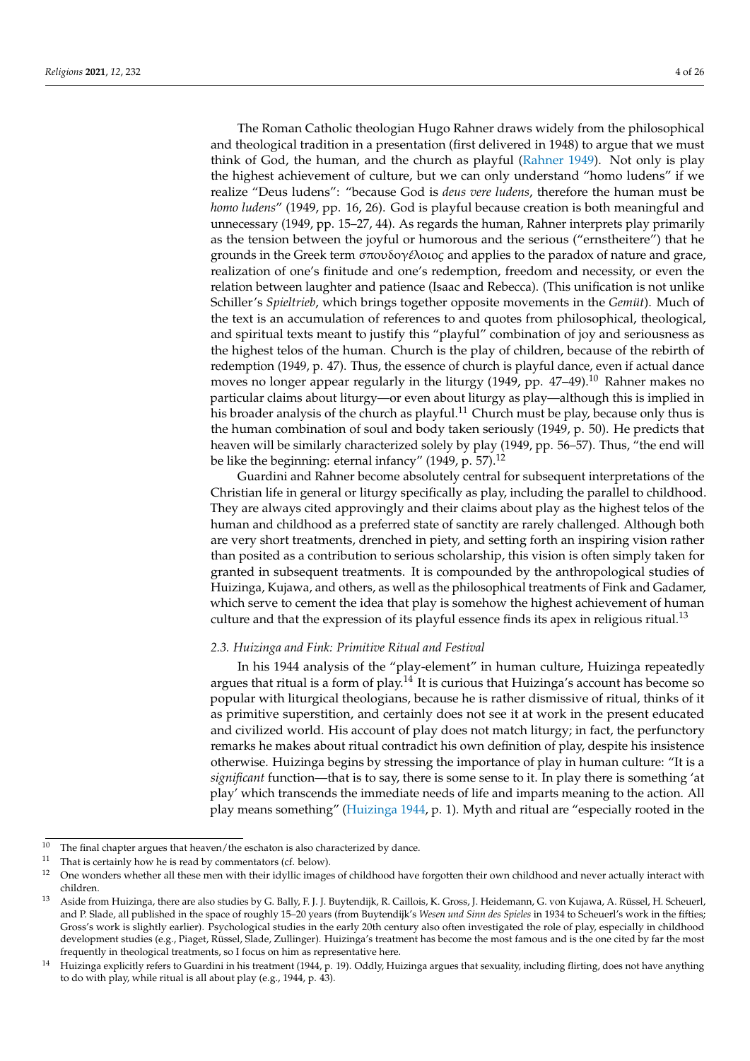The Roman Catholic theologian Hugo Rahner draws widely from the philosophical and theological tradition in a presentation (first delivered in 1948) to argue that we must think of God, the human, and the church as playful [\(Rahner](#page-25-1) [1949\)](#page-25-1). Not only is play the highest achievement of culture, but we can only understand "homo ludens" if we realize "Deus ludens": "because God is *deus vere ludens*, therefore the human must be *homo ludens*" (1949, pp. 16, 26). God is playful because creation is both meaningful and unnecessary (1949, pp. 15–27, 44). As regards the human, Rahner interprets play primarily as the tension between the joyful or humorous and the serious ("ernstheitere") that he grounds in the Greek term σπoυδoγ*ε*´λoιo*ς* and applies to the paradox of nature and grace, realization of one's finitude and one's redemption, freedom and necessity, or even the relation between laughter and patience (Isaac and Rebecca). (This unification is not unlike Schiller's *Spieltrieb*, which brings together opposite movements in the *Gemüt*). Much of the text is an accumulation of references to and quotes from philosophical, theological, and spiritual texts meant to justify this "playful" combination of joy and seriousness as the highest telos of the human. Church is the play of children, because of the rebirth of redemption (1949, p. 47). Thus, the essence of church is playful dance, even if actual dance moves no longer appear regularly in the liturgy (1949, pp. 47-49).<sup>10</sup> Rahner makes no particular claims about liturgy—or even about liturgy as play—although this is implied in his broader analysis of the church as playful.<sup>11</sup> Church must be play, because only thus is the human combination of soul and body taken seriously (1949, p. 50). He predicts that heaven will be similarly characterized solely by play (1949, pp. 56–57). Thus, "the end will be like the beginning: eternal infancy" (1949, p. 57).<sup>12</sup>

Guardini and Rahner become absolutely central for subsequent interpretations of the Christian life in general or liturgy specifically as play, including the parallel to childhood. They are always cited approvingly and their claims about play as the highest telos of the human and childhood as a preferred state of sanctity are rarely challenged. Although both are very short treatments, drenched in piety, and setting forth an inspiring vision rather than posited as a contribution to serious scholarship, this vision is often simply taken for granted in subsequent treatments. It is compounded by the anthropological studies of Huizinga, Kujawa, and others, as well as the philosophical treatments of Fink and Gadamer, which serve to cement the idea that play is somehow the highest achievement of human culture and that the expression of its playful essence finds its apex in religious ritual.<sup>13</sup>

# *2.3. Huizinga and Fink: Primitive Ritual and Festival*

In his 1944 analysis of the "play-element" in human culture, Huizinga repeatedly argues that ritual is a form of play.<sup>14</sup> It is curious that Huizinga's account has become so popular with liturgical theologians, because he is rather dismissive of ritual, thinks of it as primitive superstition, and certainly does not see it at work in the present educated and civilized world. His account of play does not match liturgy; in fact, the perfunctory remarks he makes about ritual contradict his own definition of play, despite his insistence otherwise. Huizinga begins by stressing the importance of play in human culture: "It is a *significant* function—that is to say, there is some sense to it. In play there is something 'at play' which transcends the immediate needs of life and imparts meaning to the action. All play means something" [\(Huizinga](#page-24-3) [1944,](#page-24-3) p. 1). Myth and ritual are "especially rooted in the

<sup>&</sup>lt;sup>10</sup> The final chapter argues that heaven/the eschaton is also characterized by dance.<br><sup>11</sup> That is cortainly how be is road by commentators (cf. below).

<sup>&</sup>lt;sup>11</sup> That is certainly how he is read by commentators (cf. below).<br><sup>12</sup> One wenders whether all these men with their idvilia images

<sup>12</sup> One wonders whether all these men with their idyllic images of childhood have forgotten their own childhood and never actually interact with children.

<sup>&</sup>lt;sup>13</sup> Aside from Huizinga, there are also studies by G. Bally, F. J. J. Buytendijk, R. Caillois, K. Gross, J. Heidemann, G. von Kujawa, A. Rüssel, H. Scheuerl, and P. Slade, all published in the space of roughly 15–20 years (from Buytendijk's *Wesen und Sinn des Spieles* in 1934 to Scheuerl's work in the fifties; Gross's work is slightly earlier). Psychological studies in the early 20th century also often investigated the role of play, especially in childhood development studies (e.g., Piaget, Rüssel, Slade, Zullinger). Huizinga's treatment has become the most famous and is the one cited by far the most frequently in theological treatments, so I focus on him as representative here.

<sup>&</sup>lt;sup>14</sup> Huizinga explicitly refers to Guardini in his treatment (1944, p. 19). Oddly, Huizinga argues that sexuality, including flirting, does not have anything to do with play, while ritual is all about play (e.g., 1944, p. 43).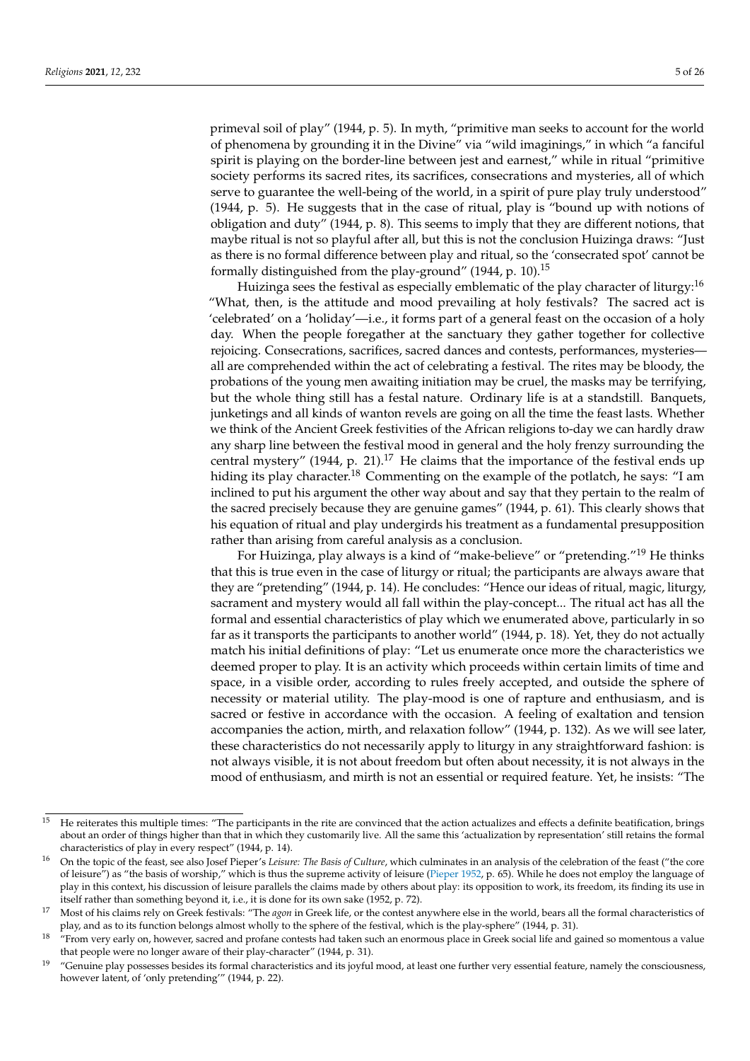primeval soil of play" (1944, p. 5). In myth, "primitive man seeks to account for the world of phenomena by grounding it in the Divine" via "wild imaginings," in which "a fanciful spirit is playing on the border-line between jest and earnest," while in ritual "primitive society performs its sacred rites, its sacrifices, consecrations and mysteries, all of which serve to guarantee the well-being of the world, in a spirit of pure play truly understood" (1944, p. 5). He suggests that in the case of ritual, play is "bound up with notions of obligation and duty" (1944, p. 8). This seems to imply that they are different notions, that maybe ritual is not so playful after all, but this is not the conclusion Huizinga draws: "Just as there is no formal difference between play and ritual, so the 'consecrated spot' cannot be formally distinguished from the play-ground" (1944, p. 10).<sup>15</sup>

Huizinga sees the festival as especially emblematic of the play character of liturgy:<sup>16</sup> "What, then, is the attitude and mood prevailing at holy festivals? The sacred act is 'celebrated' on a 'holiday'—i.e., it forms part of a general feast on the occasion of a holy day. When the people foregather at the sanctuary they gather together for collective rejoicing. Consecrations, sacrifices, sacred dances and contests, performances, mysteries all are comprehended within the act of celebrating a festival. The rites may be bloody, the probations of the young men awaiting initiation may be cruel, the masks may be terrifying, but the whole thing still has a festal nature. Ordinary life is at a standstill. Banquets, junketings and all kinds of wanton revels are going on all the time the feast lasts. Whether we think of the Ancient Greek festivities of the African religions to-day we can hardly draw any sharp line between the festival mood in general and the holy frenzy surrounding the central mystery" (1944, p. 21).<sup>17</sup> He claims that the importance of the festival ends up hiding its play character.<sup>18</sup> Commenting on the example of the potlatch, he says: "I am inclined to put his argument the other way about and say that they pertain to the realm of the sacred precisely because they are genuine games" (1944, p. 61). This clearly shows that his equation of ritual and play undergirds his treatment as a fundamental presupposition rather than arising from careful analysis as a conclusion.

For Huizinga, play always is a kind of "make-believe" or "pretending."<sup>19</sup> He thinks that this is true even in the case of liturgy or ritual; the participants are always aware that they are "pretending" (1944, p. 14). He concludes: "Hence our ideas of ritual, magic, liturgy, sacrament and mystery would all fall within the play-concept... The ritual act has all the formal and essential characteristics of play which we enumerated above, particularly in so far as it transports the participants to another world" (1944, p. 18). Yet, they do not actually match his initial definitions of play: "Let us enumerate once more the characteristics we deemed proper to play. It is an activity which proceeds within certain limits of time and space, in a visible order, according to rules freely accepted, and outside the sphere of necessity or material utility. The play-mood is one of rapture and enthusiasm, and is sacred or festive in accordance with the occasion. A feeling of exaltation and tension accompanies the action, mirth, and relaxation follow" (1944, p. 132). As we will see later, these characteristics do not necessarily apply to liturgy in any straightforward fashion: is not always visible, it is not about freedom but often about necessity, it is not always in the mood of enthusiasm, and mirth is not an essential or required feature. Yet, he insists: "The

<sup>15</sup> He reiterates this multiple times: "The participants in the rite are convinced that the action actualizes and effects a definite beatification, brings about an order of things higher than that in which they customarily live. All the same this 'actualization by representation' still retains the formal characteristics of play in every respect" (1944, p. 14).

<sup>16</sup> On the topic of the feast, see also Josef Pieper's *Leisure: The Basis of Culture*, which culminates in an analysis of the celebration of the feast ("the core of leisure") as "the basis of worship," which is thus the supreme activity of leisure [\(Pieper](#page-25-2) [1952,](#page-25-2) p. 65). While he does not employ the language of play in this context, his discussion of leisure parallels the claims made by others about play: its opposition to work, its freedom, its finding its use in itself rather than something beyond it, i.e., it is done for its own sake (1952, p. 72).

<sup>&</sup>lt;sup>17</sup> Most of his claims rely on Greek festivals: "The *agon* in Greek life, or the contest anywhere else in the world, bears all the formal characteristics of play, and as to its function belongs almost wholly to the sphere of the festival, which is the play-sphere" (1944, p. 31).

<sup>&</sup>lt;sup>18</sup> "From very early on, however, sacred and profane contests had taken such an enormous place in Greek social life and gained so momentous a value that people were no longer aware of their play-character" (1944, p. 31).

<sup>&</sup>lt;sup>19</sup> "Genuine play possesses besides its formal characteristics and its joyful mood, at least one further very essential feature, namely the consciousness, however latent, of 'only pretending'" (1944, p. 22).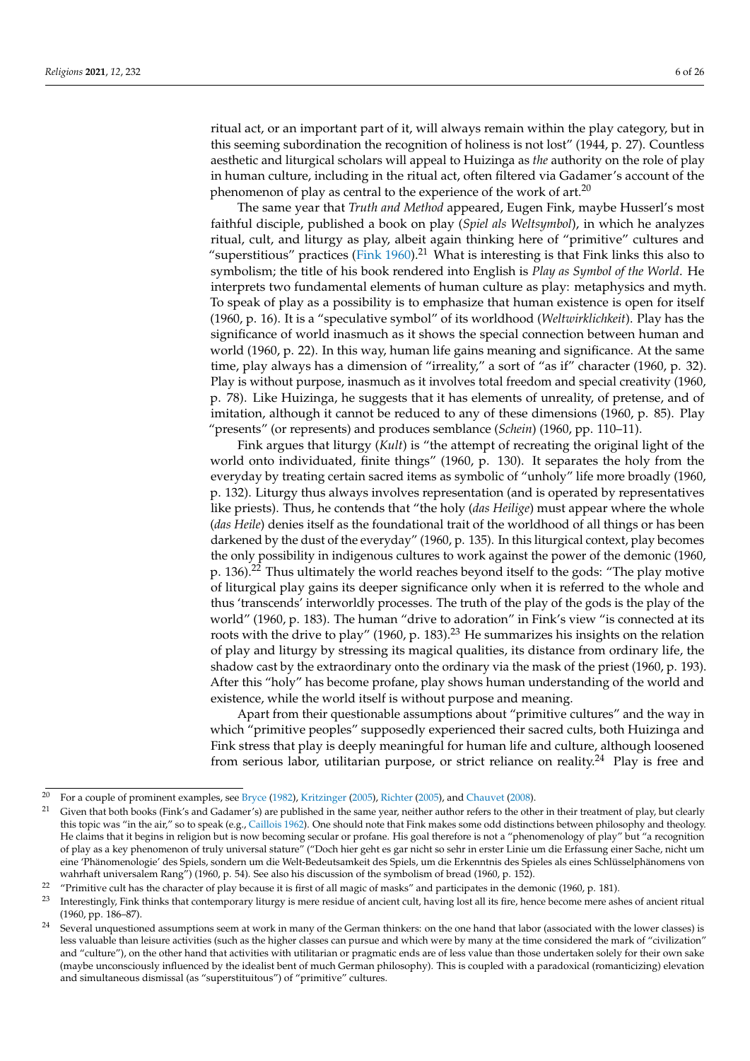ritual act, or an important part of it, will always remain within the play category, but in this seeming subordination the recognition of holiness is not lost" (1944, p. 27). Countless aesthetic and liturgical scholars will appeal to Huizinga as *the* authority on the role of play in human culture, including in the ritual act, often filtered via Gadamer's account of the phenomenon of play as central to the experience of the work of art. $20$ 

The same year that *Truth and Method* appeared, Eugen Fink, maybe Husserl's most faithful disciple, published a book on play (*Spiel als Weltsymbol*), in which he analyzes ritual, cult, and liturgy as play, albeit again thinking here of "primitive" cultures and "superstitious" practices [\(Fink](#page-24-4) [1960\)](#page-24-4).<sup>21</sup> What is interesting is that Fink links this also to symbolism; the title of his book rendered into English is *Play as Symbol of the World*. He interprets two fundamental elements of human culture as play: metaphysics and myth. To speak of play as a possibility is to emphasize that human existence is open for itself (1960, p. 16). It is a "speculative symbol" of its worldhood (*Weltwirklichkeit*). Play has the significance of world inasmuch as it shows the special connection between human and world (1960, p. 22). In this way, human life gains meaning and significance. At the same time, play always has a dimension of "irreality," a sort of "as if" character (1960, p. 32). Play is without purpose, inasmuch as it involves total freedom and special creativity (1960, p. 78). Like Huizinga, he suggests that it has elements of unreality, of pretense, and of imitation, although it cannot be reduced to any of these dimensions (1960, p. 85). Play "presents" (or represents) and produces semblance (*Schein*) (1960, pp. 110–11).

Fink argues that liturgy (*Kult*) is "the attempt of recreating the original light of the world onto individuated, finite things" (1960, p. 130). It separates the holy from the everyday by treating certain sacred items as symbolic of "unholy" life more broadly (1960, p. 132). Liturgy thus always involves representation (and is operated by representatives like priests). Thus, he contends that "the holy (*das Heilige*) must appear where the whole (*das Heile*) denies itself as the foundational trait of the worldhood of all things or has been darkened by the dust of the everyday" (1960, p. 135). In this liturgical context, play becomes the only possibility in indigenous cultures to work against the power of the demonic (1960, p.  $136$ ).<sup>22</sup> Thus ultimately the world reaches beyond itself to the gods: "The play motive of liturgical play gains its deeper significance only when it is referred to the whole and thus 'transcends' interworldly processes. The truth of the play of the gods is the play of the world" (1960, p. 183). The human "drive to adoration" in Fink's view "is connected at its roots with the drive to play" (1960, p. 183).<sup>23</sup> He summarizes his insights on the relation of play and liturgy by stressing its magical qualities, its distance from ordinary life, the shadow cast by the extraordinary onto the ordinary via the mask of the priest (1960, p. 193). After this "holy" has become profane, play shows human understanding of the world and existence, while the world itself is without purpose and meaning.

Apart from their questionable assumptions about "primitive cultures" and the way in which "primitive peoples" supposedly experienced their sacred cults, both Huizinga and Fink stress that play is deeply meaningful for human life and culture, although loosened from serious labor, utilitarian purpose, or strict reliance on reality.<sup>24</sup> Play is free and

<sup>&</sup>lt;sup>20</sup> For a couple of prominent examples, see [Bryce](#page-23-0) [\(1982\)](#page-23-0), [Kritzinger](#page-24-5) [\(2005\)](#page-25-3), [Richter](#page-25-3) (2005), and [Chauvet](#page-24-6) [\(2008\)](#page-24-6).

Given that both books (Fink's and Gadamer's) are published in the same year, neither author refers to the other in their treatment of play, but clearly this topic was "in the air," so to speak (e.g., [Caillois](#page-23-1) [1962\)](#page-23-1). One should note that Fink makes some odd distinctions between philosophy and theology. He claims that it begins in religion but is now becoming secular or profane. His goal therefore is not a "phenomenology of play" but "a recognition of play as a key phenomenon of truly universal stature" ("Doch hier geht es gar nicht so sehr in erster Linie um die Erfassung einer Sache, nicht um eine 'Phänomenologie' des Spiels, sondern um die Welt-Bedeutsamkeit des Spiels, um die Erkenntnis des Spieles als eines Schlüsselphänomens von wahrhaft universalem Rang") (1960, p. 54). See also his discussion of the symbolism of bread (1960, p. 152).

<sup>&</sup>lt;sup>22</sup> "Primitive cult has the character of play because it is first of all magic of masks" and participates in the demonic (1960, p. 181).<br><sup>23</sup> Interestingly First thinks that contenus cause literary is more arrivale of an

<sup>23</sup> Interestingly, Fink thinks that contemporary liturgy is mere residue of ancient cult, having lost all its fire, hence become mere ashes of ancient ritual (1960, pp. 186–87).

 $24$  Several unquestioned assumptions seem at work in many of the German thinkers: on the one hand that labor (associated with the lower classes) is less valuable than leisure activities (such as the higher classes can pursue and which were by many at the time considered the mark of "civilization" and "culture"), on the other hand that activities with utilitarian or pragmatic ends are of less value than those undertaken solely for their own sake (maybe unconsciously influenced by the idealist bent of much German philosophy). This is coupled with a paradoxical (romanticizing) elevation and simultaneous dismissal (as "superstituitous") of "primitive" cultures.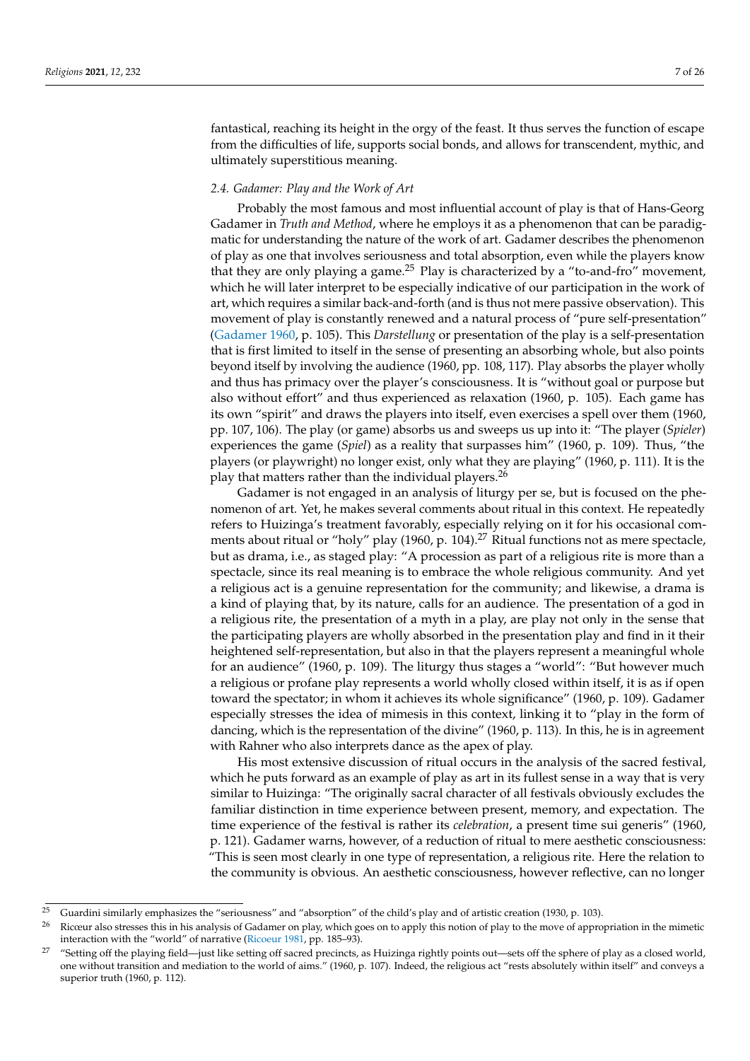fantastical, reaching its height in the orgy of the feast. It thus serves the function of escape from the difficulties of life, supports social bonds, and allows for transcendent, mythic, and ultimately superstitious meaning.

#### *2.4. Gadamer: Play and the Work of Art*

Probably the most famous and most influential account of play is that of Hans-Georg Gadamer in *Truth and Method*, where he employs it as a phenomenon that can be paradigmatic for understanding the nature of the work of art. Gadamer describes the phenomenon of play as one that involves seriousness and total absorption, even while the players know that they are only playing a game.<sup>25</sup> Play is characterized by a "to-and-fro" movement, which he will later interpret to be especially indicative of our participation in the work of art, which requires a similar back-and-forth (and is thus not mere passive observation). This movement of play is constantly renewed and a natural process of "pure self-presentation" [\(Gadamer](#page-24-7) [1960,](#page-24-7) p. 105). This *Darstellung* or presentation of the play is a self-presentation that is first limited to itself in the sense of presenting an absorbing whole, but also points beyond itself by involving the audience (1960, pp. 108, 117). Play absorbs the player wholly and thus has primacy over the player's consciousness. It is "without goal or purpose but also without effort" and thus experienced as relaxation (1960, p. 105). Each game has its own "spirit" and draws the players into itself, even exercises a spell over them (1960, pp. 107, 106). The play (or game) absorbs us and sweeps us up into it: "The player (*Spieler*) experiences the game (*Spiel*) as a reality that surpasses him" (1960, p. 109). Thus, "the players (or playwright) no longer exist, only what they are playing" (1960, p. 111). It is the play that matters rather than the individual players.<sup>26</sup>

Gadamer is not engaged in an analysis of liturgy per se, but is focused on the phenomenon of art. Yet, he makes several comments about ritual in this context. He repeatedly refers to Huizinga's treatment favorably, especially relying on it for his occasional comments about ritual or "holy" play (1960, p. 104).<sup>27</sup> Ritual functions not as mere spectacle, but as drama, i.e., as staged play: "A procession as part of a religious rite is more than a spectacle, since its real meaning is to embrace the whole religious community. And yet a religious act is a genuine representation for the community; and likewise, a drama is a kind of playing that, by its nature, calls for an audience. The presentation of a god in a religious rite, the presentation of a myth in a play, are play not only in the sense that the participating players are wholly absorbed in the presentation play and find in it their heightened self-representation, but also in that the players represent a meaningful whole for an audience" (1960, p. 109). The liturgy thus stages a "world": "But however much a religious or profane play represents a world wholly closed within itself, it is as if open toward the spectator; in whom it achieves its whole significance" (1960, p. 109). Gadamer especially stresses the idea of mimesis in this context, linking it to "play in the form of dancing, which is the representation of the divine" (1960, p. 113). In this, he is in agreement with Rahner who also interprets dance as the apex of play.

His most extensive discussion of ritual occurs in the analysis of the sacred festival, which he puts forward as an example of play as art in its fullest sense in a way that is very similar to Huizinga: "The originally sacral character of all festivals obviously excludes the familiar distinction in time experience between present, memory, and expectation. The time experience of the festival is rather its *celebration*, a present time sui generis" (1960, p. 121). Gadamer warns, however, of a reduction of ritual to mere aesthetic consciousness: "This is seen most clearly in one type of representation, a religious rite. Here the relation to the community is obvious. An aesthetic consciousness, however reflective, can no longer

<sup>&</sup>lt;sup>25</sup> Guardini similarly emphasizes the "seriousness" and "absorption" of the child's play and of artistic creation (1930, p. 103).

<sup>&</sup>lt;sup>26</sup> Ricœur also stresses this in his analysis of Gadamer on play, which goes on to apply this notion of play to the move of appropriation in the mimetic interaction with the "world" of narrative [\(Ricoeur](#page-25-4) [1981,](#page-25-4) pp. 185–93).

<sup>&</sup>lt;sup>27</sup> "Setting off the playing field—just like setting off sacred precincts, as Huizinga rightly points out—sets off the sphere of play as a closed world, one without transition and mediation to the world of aims." (1960, p. 107). Indeed, the religious act "rests absolutely within itself" and conveys a superior truth (1960, p. 112).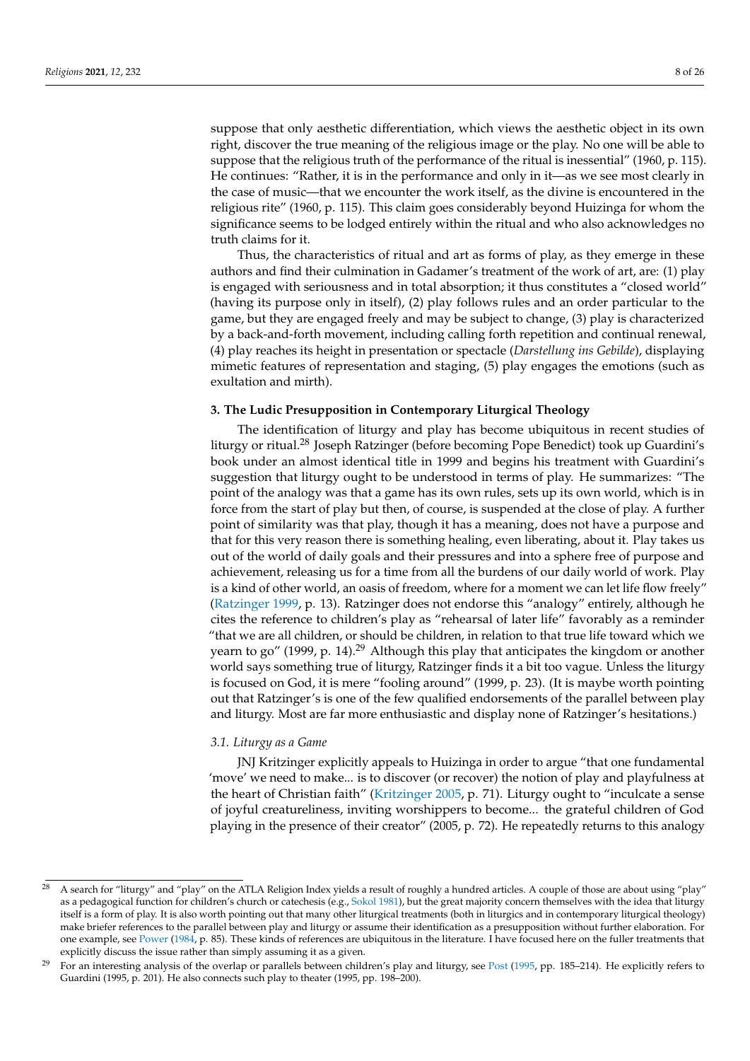suppose that only aesthetic differentiation, which views the aesthetic object in its own right, discover the true meaning of the religious image or the play. No one will be able to suppose that the religious truth of the performance of the ritual is inessential" (1960, p. 115). He continues: "Rather, it is in the performance and only in it—as we see most clearly in the case of music—that we encounter the work itself, as the divine is encountered in the religious rite" (1960, p. 115). This claim goes considerably beyond Huizinga for whom the significance seems to be lodged entirely within the ritual and who also acknowledges no truth claims for it.

Thus, the characteristics of ritual and art as forms of play, as they emerge in these authors and find their culmination in Gadamer's treatment of the work of art, are: (1) play is engaged with seriousness and in total absorption; it thus constitutes a "closed world" (having its purpose only in itself), (2) play follows rules and an order particular to the game, but they are engaged freely and may be subject to change, (3) play is characterized by a back-and-forth movement, including calling forth repetition and continual renewal, (4) play reaches its height in presentation or spectacle (*Darstellung ins Gebilde*), displaying mimetic features of representation and staging, (5) play engages the emotions (such as exultation and mirth).

### **3. The Ludic Presupposition in Contemporary Liturgical Theology**

The identification of liturgy and play has become ubiquitous in recent studies of liturgy or ritual.<sup>28</sup> Joseph Ratzinger (before becoming Pope Benedict) took up Guardini's book under an almost identical title in 1999 and begins his treatment with Guardini's suggestion that liturgy ought to be understood in terms of play. He summarizes: "The point of the analogy was that a game has its own rules, sets up its own world, which is in force from the start of play but then, of course, is suspended at the close of play. A further point of similarity was that play, though it has a meaning, does not have a purpose and that for this very reason there is something healing, even liberating, about it. Play takes us out of the world of daily goals and their pressures and into a sphere free of purpose and achievement, releasing us for a time from all the burdens of our daily world of work. Play is a kind of other world, an oasis of freedom, where for a moment we can let life flow freely" [\(Ratzinger](#page-25-5) [1999,](#page-25-5) p. 13). Ratzinger does not endorse this "analogy" entirely, although he cites the reference to children's play as "rehearsal of later life" favorably as a reminder "that we are all children, or should be children, in relation to that true life toward which we yearn to go" (1999, p. 14).<sup>29</sup> Although this play that anticipates the kingdom or another world says something true of liturgy, Ratzinger finds it a bit too vague. Unless the liturgy is focused on God, it is mere "fooling around" (1999, p. 23). (It is maybe worth pointing out that Ratzinger's is one of the few qualified endorsements of the parallel between play and liturgy. Most are far more enthusiastic and display none of Ratzinger's hesitations.)

## *3.1. Liturgy as a Game*

JNJ Kritzinger explicitly appeals to Huizinga in order to argue "that one fundamental 'move' we need to make... is to discover (or recover) the notion of play and playfulness at the heart of Christian faith" [\(Kritzinger](#page-24-5) [2005,](#page-24-5) p. 71). Liturgy ought to "inculcate a sense of joyful creatureliness, inviting worshippers to become... the grateful children of God playing in the presence of their creator" (2005, p. 72). He repeatedly returns to this analogy

<sup>&</sup>lt;sup>28</sup> A search for "liturgy" and "play" on the ATLA Religion Index yields a result of roughly a hundred articles. A couple of those are about using "play" as a pedagogical function for children's church or catechesis (e.g., [Sokol](#page-25-6) [1981\)](#page-25-6), but the great majority concern themselves with the idea that liturgy itself is a form of play. It is also worth pointing out that many other liturgical treatments (both in liturgics and in contemporary liturgical theology) make briefer references to the parallel between play and liturgy or assume their identification as a presupposition without further elaboration. For one example, see [Power](#page-25-7) [\(1984,](#page-25-7) p. 85). These kinds of references are ubiquitous in the literature. I have focused here on the fuller treatments that explicitly discuss the issue rather than simply assuming it as a given.

<sup>&</sup>lt;sup>29</sup> For an interesting analysis of the overlap or parallels between children's play and liturgy, see [Post](#page-25-8) [\(1995,](#page-25-8) pp. 185–214). He explicitly refers to Guardini (1995, p. 201). He also connects such play to theater (1995, pp. 198–200).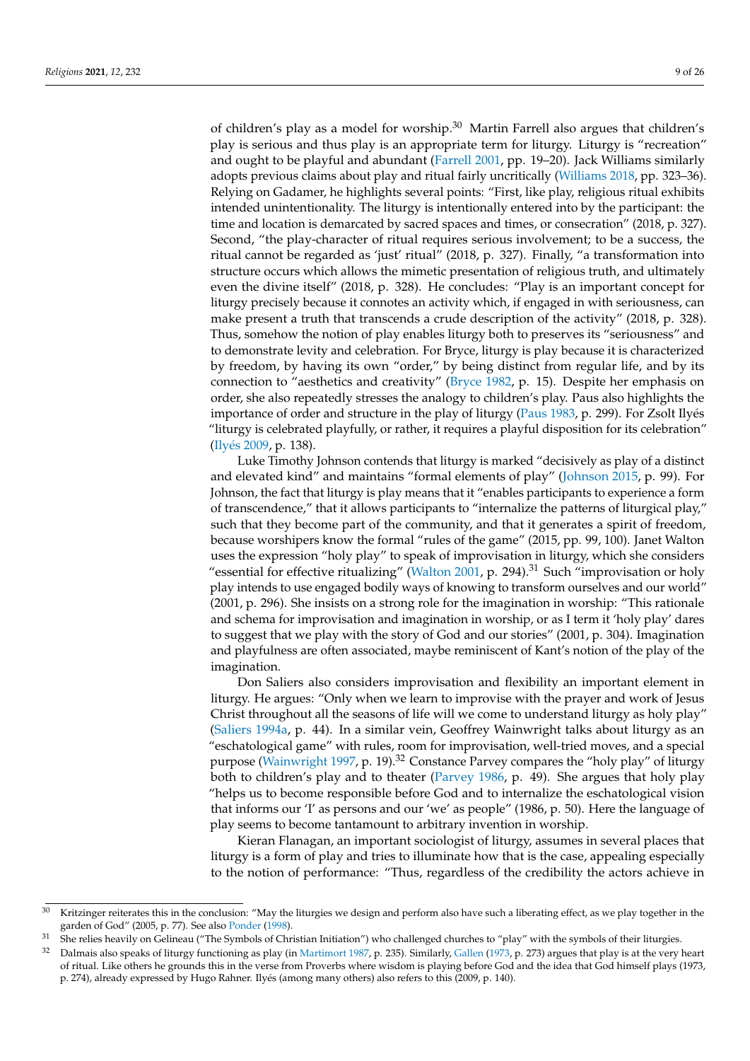of children's play as a model for worship.<sup>30</sup> Martin Farrell also argues that children's play is serious and thus play is an appropriate term for liturgy. Liturgy is "recreation" and ought to be playful and abundant [\(Farrell](#page-24-8) [2001,](#page-24-8) pp. 19–20). Jack Williams similarly adopts previous claims about play and ritual fairly uncritically [\(Williams](#page-25-9) [2018,](#page-25-9) pp. 323–36). Relying on Gadamer, he highlights several points: "First, like play, religious ritual exhibits intended unintentionality. The liturgy is intentionally entered into by the participant: the time and location is demarcated by sacred spaces and times, or consecration" (2018, p. 327). Second, "the play-character of ritual requires serious involvement; to be a success, the ritual cannot be regarded as 'just' ritual" (2018, p. 327). Finally, "a transformation into structure occurs which allows the mimetic presentation of religious truth, and ultimately even the divine itself" (2018, p. 328). He concludes: "Play is an important concept for liturgy precisely because it connotes an activity which, if engaged in with seriousness, can make present a truth that transcends a crude description of the activity" (2018, p. 328). Thus, somehow the notion of play enables liturgy both to preserves its "seriousness" and to demonstrate levity and celebration. For Bryce, liturgy is play because it is characterized by freedom, by having its own "order," by being distinct from regular life, and by its connection to "aesthetics and creativity" [\(Bryce](#page-23-0) [1982,](#page-23-0) p. 15). Despite her emphasis on order, she also repeatedly stresses the analogy to children's play. Paus also highlights the importance of order and structure in the play of liturgy [\(Paus](#page-25-10) [1983,](#page-25-10) p. 299). For Zsolt Ilyés "liturgy is celebrated playfully, or rather, it requires a playful disposition for its celebration" [\(Ily](#page-24-9)és [2009,](#page-24-9) p. 138).

Luke Timothy Johnson contends that liturgy is marked "decisively as play of a distinct and elevated kind" and maintains "formal elements of play" [\(Johnson](#page-24-10) [2015,](#page-24-10) p. 99). For Johnson, the fact that liturgy is play means that it "enables participants to experience a form of transcendence," that it allows participants to "internalize the patterns of liturgical play," such that they become part of the community, and that it generates a spirit of freedom, because worshipers know the formal "rules of the game" (2015, pp. 99, 100). Janet Walton uses the expression "holy play" to speak of improvisation in liturgy, which she considers "essential for effective ritualizing" [\(Walton](#page-25-11) [2001,](#page-25-11) p. 294). $31$  Such "improvisation or holy play intends to use engaged bodily ways of knowing to transform ourselves and our world" (2001, p. 296). She insists on a strong role for the imagination in worship: "This rationale and schema for improvisation and imagination in worship, or as I term it 'holy play' dares to suggest that we play with the story of God and our stories" (2001, p. 304). Imagination and playfulness are often associated, maybe reminiscent of Kant's notion of the play of the imagination.

Don Saliers also considers improvisation and flexibility an important element in liturgy. He argues: "Only when we learn to improvise with the prayer and work of Jesus Christ throughout all the seasons of life will we come to understand liturgy as holy play" [\(Saliers](#page-25-12) [1994a,](#page-25-12) p. 44). In a similar vein, Geoffrey Wainwright talks about liturgy as an "eschatological game" with rules, room for improvisation, well-tried moves, and a special purpose [\(Wainwright](#page-25-13) [1997,](#page-25-13) p. 19).<sup>32</sup> Constance Parvey compares the "holy play" of liturgy both to children's play and to theater [\(Parvey](#page-25-14) [1986,](#page-25-14) p. 49). She argues that holy play "helps us to become responsible before God and to internalize the eschatological vision that informs our 'I' as persons and our 'we' as people" (1986, p. 50). Here the language of play seems to become tantamount to arbitrary invention in worship.

Kieran Flanagan, an important sociologist of liturgy, assumes in several places that liturgy is a form of play and tries to illuminate how that is the case, appealing especially to the notion of performance: "Thus, regardless of the credibility the actors achieve in

<sup>&</sup>lt;sup>30</sup> Kritzinger reiterates this in the conclusion: "May the liturgies we design and perform also have such a liberating effect, as we play together in the garden of God" (2005, p. 77). See also [Ponder](#page-25-15) [\(1998\)](#page-25-15).

<sup>&</sup>lt;sup>31</sup> She relies heavily on Gelineau ("The Symbols of Christian Initiation") who challenged churches to "play" with the symbols of their liturgies.

Dalmais also speaks of liturgy functioning as play (in [Martimort](#page-24-11) [1987,](#page-24-11) p. 235). Similarly, [Gallen](#page-24-12) [\(1973,](#page-24-12) p. 273) argues that play is at the very heart of ritual. Like others he grounds this in the verse from Proverbs where wisdom is playing before God and the idea that God himself plays (1973, p. 274), already expressed by Hugo Rahner. Ilyés (among many others) also refers to this (2009, p. 140).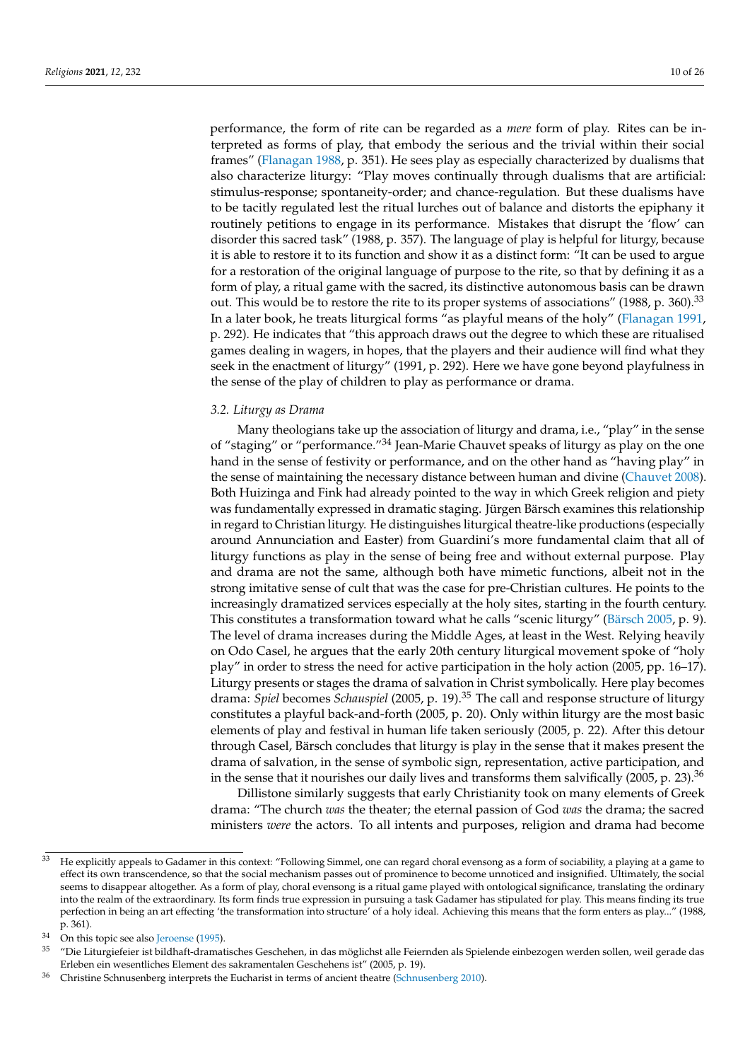performance, the form of rite can be regarded as a *mere* form of play. Rites can be interpreted as forms of play, that embody the serious and the trivial within their social frames" [\(Flanagan](#page-24-13) [1988,](#page-24-13) p. 351). He sees play as especially characterized by dualisms that also characterize liturgy: "Play moves continually through dualisms that are artificial: stimulus-response; spontaneity-order; and chance-regulation. But these dualisms have to be tacitly regulated lest the ritual lurches out of balance and distorts the epiphany it routinely petitions to engage in its performance. Mistakes that disrupt the 'flow' can disorder this sacred task" (1988, p. 357). The language of play is helpful for liturgy, because it is able to restore it to its function and show it as a distinct form: "It can be used to argue for a restoration of the original language of purpose to the rite, so that by defining it as a form of play, a ritual game with the sacred, its distinctive autonomous basis can be drawn out. This would be to restore the rite to its proper systems of associations" (1988, p. 360).<sup>33</sup> In a later book, he treats liturgical forms "as playful means of the holy" [\(Flanagan](#page-24-14) [1991,](#page-24-14) p. 292). He indicates that "this approach draws out the degree to which these are ritualised games dealing in wagers, in hopes, that the players and their audience will find what they seek in the enactment of liturgy" (1991, p. 292). Here we have gone beyond playfulness in the sense of the play of children to play as performance or drama.

## *3.2. Liturgy as Drama*

Many theologians take up the association of liturgy and drama, i.e., "play" in the sense of "staging" or "performance."<sup>34</sup> Jean-Marie Chauvet speaks of liturgy as play on the one hand in the sense of festivity or performance, and on the other hand as "having play" in the sense of maintaining the necessary distance between human and divine [\(Chauvet](#page-24-6) [2008\)](#page-24-6). Both Huizinga and Fink had already pointed to the way in which Greek religion and piety was fundamentally expressed in dramatic staging. Jürgen Bärsch examines this relationship in regard to Christian liturgy. He distinguishes liturgical theatre-like productions (especially around Annunciation and Easter) from Guardini's more fundamental claim that all of liturgy functions as play in the sense of being free and without external purpose. Play and drama are not the same, although both have mimetic functions, albeit not in the strong imitative sense of cult that was the case for pre-Christian cultures. He points to the increasingly dramatized services especially at the holy sites, starting in the fourth century. This constitutes a transformation toward what he calls "scenic liturgy" [\(Bärsch](#page-23-2) [2005,](#page-23-2) p. 9). The level of drama increases during the Middle Ages, at least in the West. Relying heavily on Odo Casel, he argues that the early 20th century liturgical movement spoke of "holy play" in order to stress the need for active participation in the holy action (2005, pp. 16–17). Liturgy presents or stages the drama of salvation in Christ symbolically. Here play becomes drama: *Spiel* becomes *Schauspiel* (2005, p. 19).<sup>35</sup> The call and response structure of liturgy constitutes a playful back-and-forth (2005, p. 20). Only within liturgy are the most basic elements of play and festival in human life taken seriously (2005, p. 22). After this detour through Casel, Bärsch concludes that liturgy is play in the sense that it makes present the drama of salvation, in the sense of symbolic sign, representation, active participation, and in the sense that it nourishes our daily lives and transforms them salvifically  $(2005, p. 23).$ <sup>36</sup>

Dillistone similarly suggests that early Christianity took on many elements of Greek drama: "The church *was* the theater; the eternal passion of God *was* the drama; the sacred ministers *were* the actors. To all intents and purposes, religion and drama had become

<sup>33</sup> He explicitly appeals to Gadamer in this context: "Following Simmel, one can regard choral evensong as a form of sociability, a playing at a game to effect its own transcendence, so that the social mechanism passes out of prominence to become unnoticed and insignified. Ultimately, the social seems to disappear altogether. As a form of play, choral evensong is a ritual game played with ontological significance, translating the ordinary into the realm of the extraordinary. Its form finds true expression in pursuing a task Gadamer has stipulated for play. This means finding its true perfection in being an art effecting 'the transformation into structure' of a holy ideal. Achieving this means that the form enters as play..." (1988, p. 361).

 $34$  On this topic see also [Jeroense](#page-24-15) [\(1995\)](#page-24-15).

<sup>35</sup> "Die Liturgiefeier ist bildhaft-dramatisches Geschehen, in das möglichst alle Feiernden als Spielende einbezogen werden sollen, weil gerade das Erleben ein wesentliches Element des sakramentalen Geschehens ist" (2005, p. 19).

<sup>36</sup> Christine Schnusenberg interprets the Eucharist in terms of ancient theatre [\(Schnusenberg](#page-25-16) [2010\)](#page-25-16).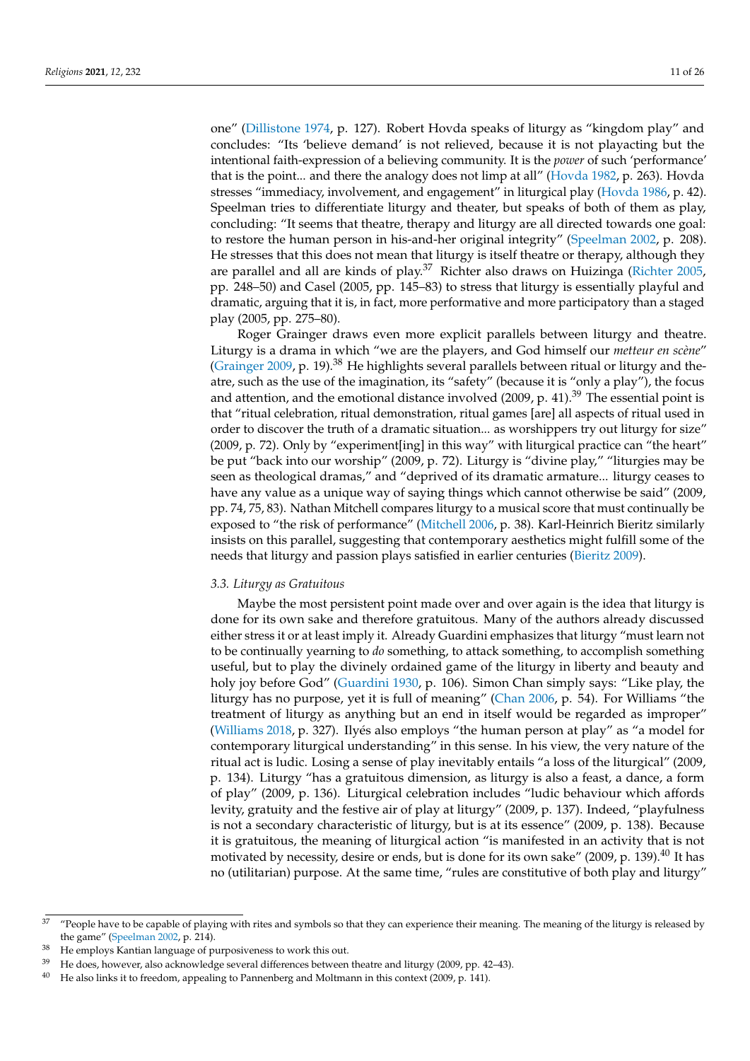one" [\(Dillistone](#page-24-16) [1974,](#page-24-16) p. 127). Robert Hovda speaks of liturgy as "kingdom play" and concludes: "Its 'believe demand' is not relieved, because it is not playacting but the intentional faith-expression of a believing community. It is the *power* of such 'performance' that is the point... and there the analogy does not limp at all" [\(Hovda](#page-24-17) [1982,](#page-24-17) p. 263). Hovda stresses "immediacy, involvement, and engagement" in liturgical play [\(Hovda](#page-24-18) [1986,](#page-24-18) p. 42). Speelman tries to differentiate liturgy and theater, but speaks of both of them as play, concluding: "It seems that theatre, therapy and liturgy are all directed towards one goal: to restore the human person in his-and-her original integrity" [\(Speelman](#page-25-17) [2002,](#page-25-17) p. 208). He stresses that this does not mean that liturgy is itself theatre or therapy, although they are parallel and all are kinds of play.<sup>37</sup> Richter also draws on Huizinga [\(Richter](#page-25-3) [2005,](#page-25-3) pp. 248–50) and Casel (2005, pp. 145–83) to stress that liturgy is essentially playful and dramatic, arguing that it is, in fact, more performative and more participatory than a staged play (2005, pp. 275–80).

Roger Grainger draws even more explicit parallels between liturgy and theatre. Liturgy is a drama in which "we are the players, and God himself our *metteur en scène*" [\(Grainger](#page-24-19) [2009,](#page-24-19) p. 19).<sup>38</sup> He highlights several parallels between ritual or liturgy and theatre, such as the use of the imagination, its "safety" (because it is "only a play"), the focus and attention, and the emotional distance involved (2009, p. 41).<sup>39</sup> The essential point is that "ritual celebration, ritual demonstration, ritual games [are] all aspects of ritual used in order to discover the truth of a dramatic situation... as worshippers try out liturgy for size" (2009, p. 72). Only by "experiment[ing] in this way" with liturgical practice can "the heart" be put "back into our worship" (2009, p. 72). Liturgy is "divine play," "liturgies may be seen as theological dramas," and "deprived of its dramatic armature... liturgy ceases to have any value as a unique way of saying things which cannot otherwise be said" (2009, pp. 74, 75, 83). Nathan Mitchell compares liturgy to a musical score that must continually be exposed to "the risk of performance" [\(Mitchell](#page-24-20) [2006,](#page-24-20) p. 38). Karl-Heinrich Bieritz similarly insists on this parallel, suggesting that contemporary aesthetics might fulfill some of the needs that liturgy and passion plays satisfied in earlier centuries [\(Bieritz](#page-23-3) [2009\)](#page-23-3).

#### *3.3. Liturgy as Gratuitous*

Maybe the most persistent point made over and over again is the idea that liturgy is done for its own sake and therefore gratuitous. Many of the authors already discussed either stress it or at least imply it. Already Guardini emphasizes that liturgy "must learn not to be continually yearning to *do* something, to attack something, to accomplish something useful, but to play the divinely ordained game of the liturgy in liberty and beauty and holy joy before God" [\(Guardini](#page-24-1) [1930,](#page-24-1) p. 106). Simon Chan simply says: "Like play, the liturgy has no purpose, yet it is full of meaning" [\(Chan](#page-24-21) [2006,](#page-24-21) p. 54). For Williams "the treatment of liturgy as anything but an end in itself would be regarded as improper" [\(Williams](#page-25-9) [2018,](#page-25-9) p. 327). Ilyés also employs "the human person at play" as "a model for contemporary liturgical understanding" in this sense. In his view, the very nature of the ritual act is ludic. Losing a sense of play inevitably entails "a loss of the liturgical" (2009, p. 134). Liturgy "has a gratuitous dimension, as liturgy is also a feast, a dance, a form of play" (2009, p. 136). Liturgical celebration includes "ludic behaviour which affords levity, gratuity and the festive air of play at liturgy" (2009, p. 137). Indeed, "playfulness is not a secondary characteristic of liturgy, but is at its essence" (2009, p. 138). Because it is gratuitous, the meaning of liturgical action "is manifested in an activity that is not motivated by necessity, desire or ends, but is done for its own sake" (2009, p. 139).<sup>40</sup> It has no (utilitarian) purpose. At the same time, "rules are constitutive of both play and liturgy"

 $37$  "People have to be capable of playing with rites and symbols so that they can experience their meaning. The meaning of the liturgy is released by the game" [\(Speelman](#page-25-17) [2002,](#page-25-17) p. 214).

<sup>&</sup>lt;sup>38</sup> He employs Kantian language of purposiveness to work this out.

 $39$  He does, however, also acknowledge several differences between theatre and liturgy (2009, pp. 42–43).

 $40$  He also links it to freedom, appealing to Pannenberg and Moltmann in this context (2009, p. 141).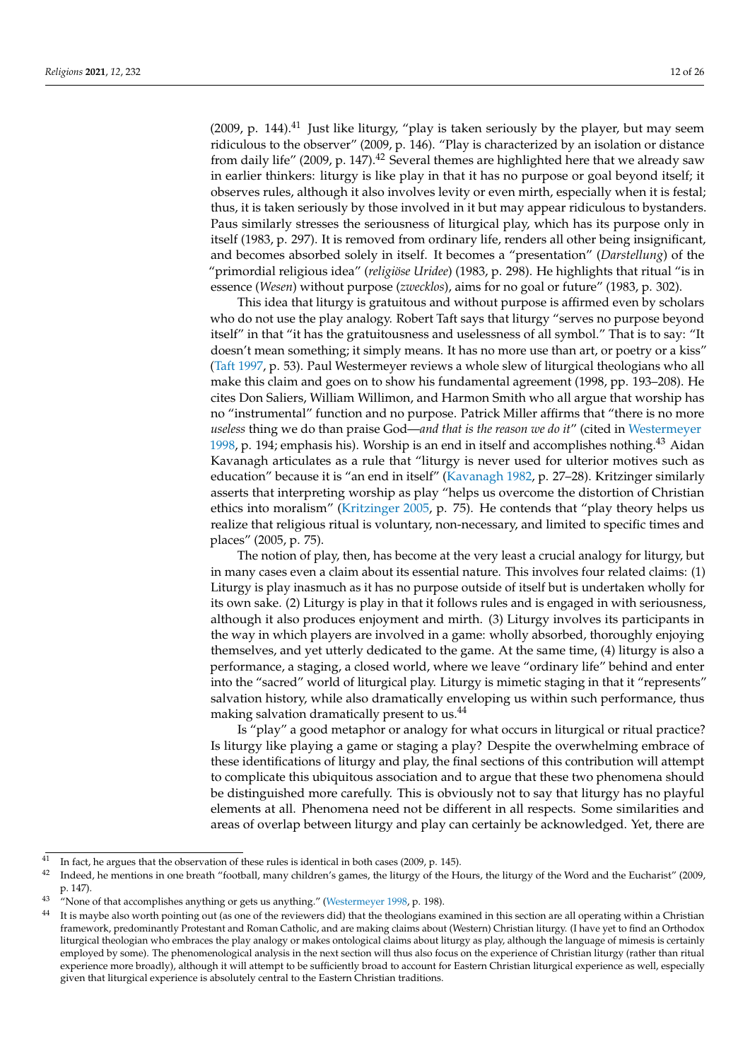(2009, p.  $144$ ).<sup>41</sup> Just like liturgy, "play is taken seriously by the player, but may seem ridiculous to the observer" (2009, p. 146). "Play is characterized by an isolation or distance from daily life" (2009, p. 147).<sup>42</sup> Several themes are highlighted here that we already saw in earlier thinkers: liturgy is like play in that it has no purpose or goal beyond itself; it observes rules, although it also involves levity or even mirth, especially when it is festal; thus, it is taken seriously by those involved in it but may appear ridiculous to bystanders. Paus similarly stresses the seriousness of liturgical play, which has its purpose only in itself (1983, p. 297). It is removed from ordinary life, renders all other being insignificant, and becomes absorbed solely in itself. It becomes a "presentation" (*Darstellung*) of the "primordial religious idea" (*religiöse Uridee*) (1983, p. 298). He highlights that ritual "is in essence (*Wesen*) without purpose (*zwecklos*), aims for no goal or future" (1983, p. 302).

This idea that liturgy is gratuitous and without purpose is affirmed even by scholars who do not use the play analogy. Robert Taft says that liturgy "serves no purpose beyond itself" in that "it has the gratuitousness and uselessness of all symbol." That is to say: "It doesn't mean something; it simply means. It has no more use than art, or poetry or a kiss" [\(Taft](#page-25-18) [1997,](#page-25-18) p. 53). Paul Westermeyer reviews a whole slew of liturgical theologians who all make this claim and goes on to show his fundamental agreement (1998, pp. 193–208). He cites Don Saliers, William Willimon, and Harmon Smith who all argue that worship has no "instrumental" function and no purpose. Patrick Miller affirms that "there is no more *useless* thing we do than praise God—*and that is the reason we do it*" (cited in [Westermeyer](#page-25-19) [1998,](#page-25-19) p. 194; emphasis his). Worship is an end in itself and accomplishes nothing.<sup>43</sup> Aidan Kavanagh articulates as a rule that "liturgy is never used for ulterior motives such as education" because it is "an end in itself" [\(Kavanagh](#page-24-22) [1982,](#page-24-22) p. 27–28). Kritzinger similarly asserts that interpreting worship as play "helps us overcome the distortion of Christian ethics into moralism" [\(Kritzinger](#page-24-5) [2005,](#page-24-5) p. 75). He contends that "play theory helps us realize that religious ritual is voluntary, non-necessary, and limited to specific times and places" (2005, p. 75).

The notion of play, then, has become at the very least a crucial analogy for liturgy, but in many cases even a claim about its essential nature. This involves four related claims: (1) Liturgy is play inasmuch as it has no purpose outside of itself but is undertaken wholly for its own sake. (2) Liturgy is play in that it follows rules and is engaged in with seriousness, although it also produces enjoyment and mirth. (3) Liturgy involves its participants in the way in which players are involved in a game: wholly absorbed, thoroughly enjoying themselves, and yet utterly dedicated to the game. At the same time, (4) liturgy is also a performance, a staging, a closed world, where we leave "ordinary life" behind and enter into the "sacred" world of liturgical play. Liturgy is mimetic staging in that it "represents" salvation history, while also dramatically enveloping us within such performance, thus making salvation dramatically present to us.<sup>44</sup>

Is "play" a good metaphor or analogy for what occurs in liturgical or ritual practice? Is liturgy like playing a game or staging a play? Despite the overwhelming embrace of these identifications of liturgy and play, the final sections of this contribution will attempt to complicate this ubiquitous association and to argue that these two phenomena should be distinguished more carefully. This is obviously not to say that liturgy has no playful elements at all. Phenomena need not be different in all respects. Some similarities and areas of overlap between liturgy and play can certainly be acknowledged. Yet, there are

<sup>&</sup>lt;sup>41</sup> In fact, he argues that the observation of these rules is identical in both cases (2009, p. 145).

<sup>42</sup> Indeed, he mentions in one breath "football, many children's games, the liturgy of the Hours, the liturgy of the Word and the Eucharist" (2009, p. 147).

<sup>&</sup>lt;sup>43</sup> "None of that accomplishes anything or gets us anything." [\(Westermeyer](#page-25-19) [1998,](#page-25-19) p. 198).

It is maybe also worth pointing out (as one of the reviewers did) that the theologians examined in this section are all operating within a Christian framework, predominantly Protestant and Roman Catholic, and are making claims about (Western) Christian liturgy. (I have yet to find an Orthodox liturgical theologian who embraces the play analogy or makes ontological claims about liturgy as play, although the language of mimesis is certainly employed by some). The phenomenological analysis in the next section will thus also focus on the experience of Christian liturgy (rather than ritual experience more broadly), although it will attempt to be sufficiently broad to account for Eastern Christian liturgical experience as well, especially given that liturgical experience is absolutely central to the Eastern Christian traditions.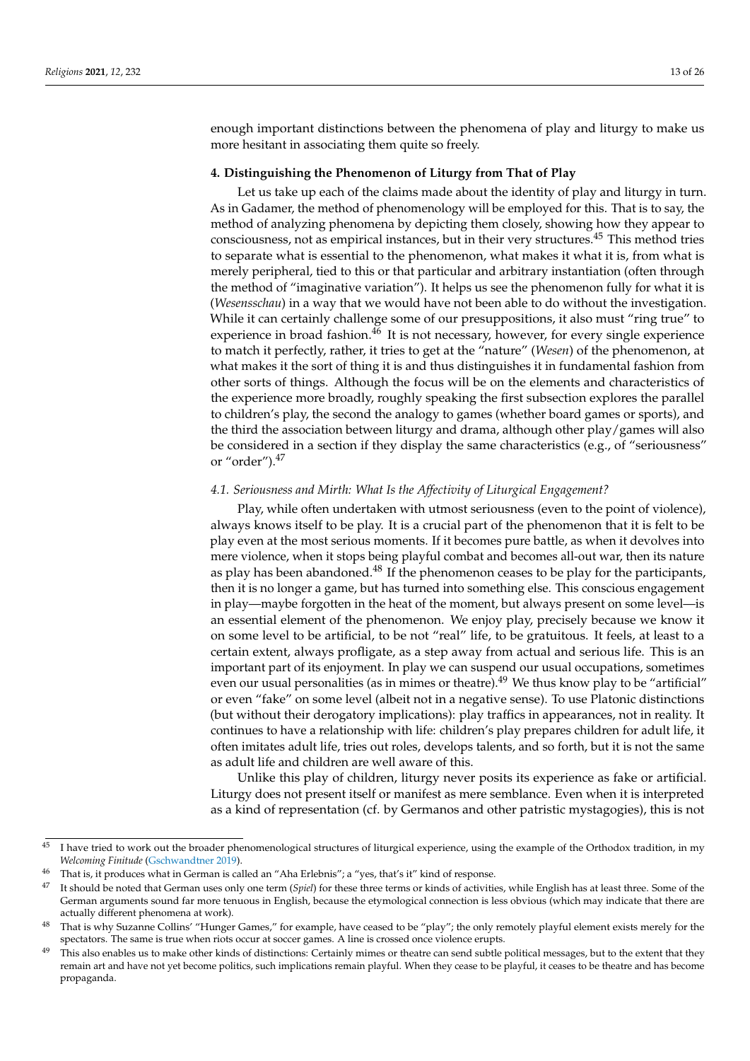enough important distinctions between the phenomena of play and liturgy to make us more hesitant in associating them quite so freely.

#### **4. Distinguishing the Phenomenon of Liturgy from That of Play**

Let us take up each of the claims made about the identity of play and liturgy in turn. As in Gadamer, the method of phenomenology will be employed for this. That is to say, the method of analyzing phenomena by depicting them closely, showing how they appear to consciousness, not as empirical instances, but in their very structures.<sup>45</sup> This method tries to separate what is essential to the phenomenon, what makes it what it is, from what is merely peripheral, tied to this or that particular and arbitrary instantiation (often through the method of "imaginative variation"). It helps us see the phenomenon fully for what it is (*Wesensschau*) in a way that we would have not been able to do without the investigation. While it can certainly challenge some of our presuppositions, it also must "ring true" to experience in broad fashion.<sup>46</sup> It is not necessary, however, for every single experience to match it perfectly, rather, it tries to get at the "nature" (*Wesen*) of the phenomenon, at what makes it the sort of thing it is and thus distinguishes it in fundamental fashion from other sorts of things. Although the focus will be on the elements and characteristics of the experience more broadly, roughly speaking the first subsection explores the parallel to children's play, the second the analogy to games (whether board games or sports), and the third the association between liturgy and drama, although other play/games will also be considered in a section if they display the same characteristics (e.g., of "seriousness" or "order").<sup>47</sup>

## *4.1. Seriousness and Mirth: What Is the Affectivity of Liturgical Engagement?*

Play, while often undertaken with utmost seriousness (even to the point of violence), always knows itself to be play. It is a crucial part of the phenomenon that it is felt to be play even at the most serious moments. If it becomes pure battle, as when it devolves into mere violence, when it stops being playful combat and becomes all-out war, then its nature as play has been abandoned. $^{48}$  If the phenomenon ceases to be play for the participants, then it is no longer a game, but has turned into something else. This conscious engagement in play—maybe forgotten in the heat of the moment, but always present on some level—is an essential element of the phenomenon. We enjoy play, precisely because we know it on some level to be artificial, to be not "real" life, to be gratuitous. It feels, at least to a certain extent, always profligate, as a step away from actual and serious life. This is an important part of its enjoyment. In play we can suspend our usual occupations, sometimes even our usual personalities (as in mimes or theatre).<sup>49</sup> We thus know play to be "artificial" or even "fake" on some level (albeit not in a negative sense). To use Platonic distinctions (but without their derogatory implications): play traffics in appearances, not in reality. It continues to have a relationship with life: children's play prepares children for adult life, it often imitates adult life, tries out roles, develops talents, and so forth, but it is not the same as adult life and children are well aware of this.

Unlike this play of children, liturgy never posits its experience as fake or artificial. Liturgy does not present itself or manifest as mere semblance. Even when it is interpreted as a kind of representation (cf. by Germanos and other patristic mystagogies), this is not

<sup>&</sup>lt;sup>45</sup> I have tried to work out the broader phenomenological structures of liturgical experience, using the example of the Orthodox tradition, in my *Welcoming Finitude* [\(Gschwandtner](#page-24-23) [2019\)](#page-24-23).

<sup>&</sup>lt;sup>46</sup> That is, it produces what in German is called an "Aha Erlebnis"; a "yes, that's it" kind of response.<br><sup>47</sup> It should be noted that German uses only one term (Saiel) for these three terms on linds of estimities

<sup>47</sup> It should be noted that German uses only one term (*Spiel*) for these three terms or kinds of activities, while English has at least three. Some of the German arguments sound far more tenuous in English, because the etymological connection is less obvious (which may indicate that there are actually different phenomena at work).

<sup>&</sup>lt;sup>48</sup> That is why Suzanne Collins' "Hunger Games," for example, have ceased to be "play"; the only remotely playful element exists merely for the spectators. The same is true when riots occur at soccer games. A line is crossed once violence erupts.

 $49$  This also enables us to make other kinds of distinctions: Certainly mimes or theatre can send subtle political messages, but to the extent that they remain art and have not yet become politics, such implications remain playful. When they cease to be playful, it ceases to be theatre and has become propaganda.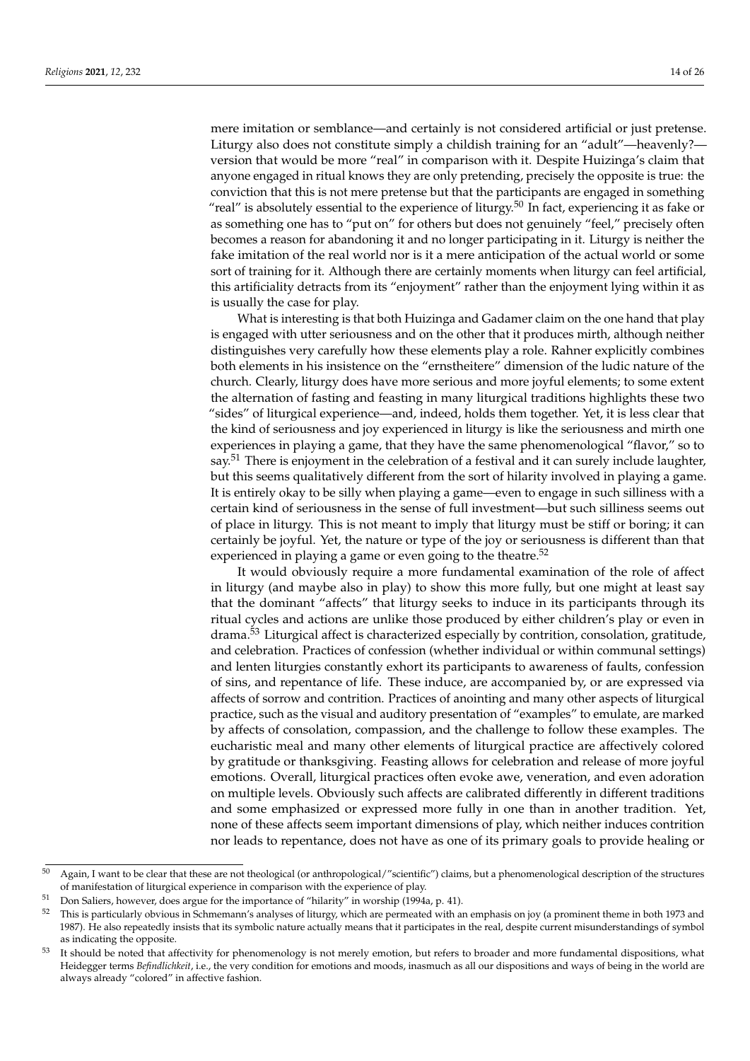mere imitation or semblance—and certainly is not considered artificial or just pretense.

Liturgy also does not constitute simply a childish training for an "adult"—heavenly? version that would be more "real" in comparison with it. Despite Huizinga's claim that anyone engaged in ritual knows they are only pretending, precisely the opposite is true: the conviction that this is not mere pretense but that the participants are engaged in something "real" is absolutely essential to the experience of liturgy.<sup>50</sup> In fact, experiencing it as fake or as something one has to "put on" for others but does not genuinely "feel," precisely often becomes a reason for abandoning it and no longer participating in it. Liturgy is neither the fake imitation of the real world nor is it a mere anticipation of the actual world or some sort of training for it. Although there are certainly moments when liturgy can feel artificial, this artificiality detracts from its "enjoyment" rather than the enjoyment lying within it as is usually the case for play.

What is interesting is that both Huizinga and Gadamer claim on the one hand that play is engaged with utter seriousness and on the other that it produces mirth, although neither distinguishes very carefully how these elements play a role. Rahner explicitly combines both elements in his insistence on the "ernstheitere" dimension of the ludic nature of the church. Clearly, liturgy does have more serious and more joyful elements; to some extent the alternation of fasting and feasting in many liturgical traditions highlights these two "sides" of liturgical experience—and, indeed, holds them together. Yet, it is less clear that the kind of seriousness and joy experienced in liturgy is like the seriousness and mirth one experiences in playing a game, that they have the same phenomenological "flavor," so to say.<sup>51</sup> There is enjoyment in the celebration of a festival and it can surely include laughter, but this seems qualitatively different from the sort of hilarity involved in playing a game. It is entirely okay to be silly when playing a game—even to engage in such silliness with a certain kind of seriousness in the sense of full investment—but such silliness seems out of place in liturgy. This is not meant to imply that liturgy must be stiff or boring; it can certainly be joyful. Yet, the nature or type of the joy or seriousness is different than that experienced in playing a game or even going to the theatre. $52$ 

It would obviously require a more fundamental examination of the role of affect in liturgy (and maybe also in play) to show this more fully, but one might at least say that the dominant "affects" that liturgy seeks to induce in its participants through its ritual cycles and actions are unlike those produced by either children's play or even in drama.<sup>53</sup> Liturgical affect is characterized especially by contrition, consolation, gratitude, and celebration. Practices of confession (whether individual or within communal settings) and lenten liturgies constantly exhort its participants to awareness of faults, confession of sins, and repentance of life. These induce, are accompanied by, or are expressed via affects of sorrow and contrition. Practices of anointing and many other aspects of liturgical practice, such as the visual and auditory presentation of "examples" to emulate, are marked by affects of consolation, compassion, and the challenge to follow these examples. The eucharistic meal and many other elements of liturgical practice are affectively colored by gratitude or thanksgiving. Feasting allows for celebration and release of more joyful emotions. Overall, liturgical practices often evoke awe, veneration, and even adoration on multiple levels. Obviously such affects are calibrated differently in different traditions and some emphasized or expressed more fully in one than in another tradition. Yet, none of these affects seem important dimensions of play, which neither induces contrition nor leads to repentance, does not have as one of its primary goals to provide healing or

<sup>&</sup>lt;sup>50</sup> Again, I want to be clear that these are not theological (or anthropological/"scientific") claims, but a phenomenological description of the structures of manifestation of liturgical experience in comparison with the experience of play.

Don Saliers, however, does argue for the importance of "hilarity" in worship (1994a, p. 41).

<sup>52</sup> This is particularly obvious in Schmemann's analyses of liturgy, which are permeated with an emphasis on joy (a prominent theme in both 1973 and 1987). He also repeatedly insists that its symbolic nature actually means that it participates in the real, despite current misunderstandings of symbol as indicating the opposite.

<sup>&</sup>lt;sup>53</sup> It should be noted that affectivity for phenomenology is not merely emotion, but refers to broader and more fundamental dispositions, what Heidegger terms *Befindlichkeit*, i.e., the very condition for emotions and moods, inasmuch as all our dispositions and ways of being in the world are always already "colored" in affective fashion.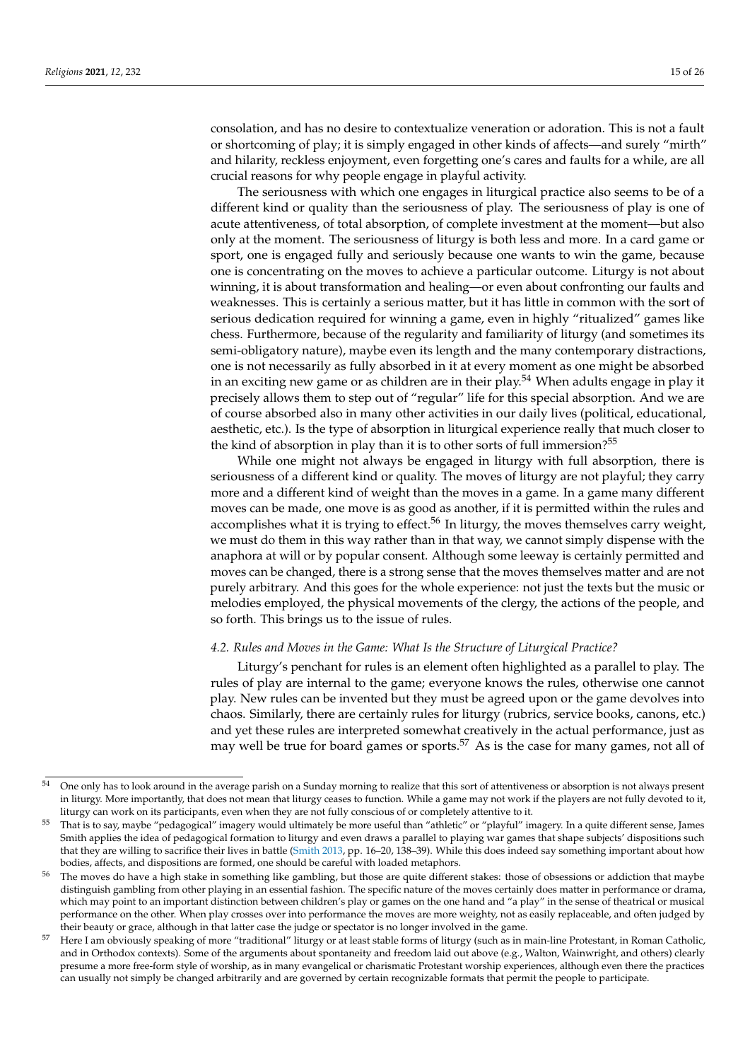consolation, and has no desire to contextualize veneration or adoration. This is not a fault or shortcoming of play; it is simply engaged in other kinds of affects—and surely "mirth" and hilarity, reckless enjoyment, even forgetting one's cares and faults for a while, are all crucial reasons for why people engage in playful activity.

The seriousness with which one engages in liturgical practice also seems to be of a different kind or quality than the seriousness of play. The seriousness of play is one of acute attentiveness, of total absorption, of complete investment at the moment—but also only at the moment. The seriousness of liturgy is both less and more. In a card game or sport, one is engaged fully and seriously because one wants to win the game, because one is concentrating on the moves to achieve a particular outcome. Liturgy is not about winning, it is about transformation and healing—or even about confronting our faults and weaknesses. This is certainly a serious matter, but it has little in common with the sort of serious dedication required for winning a game, even in highly "ritualized" games like chess. Furthermore, because of the regularity and familiarity of liturgy (and sometimes its semi-obligatory nature), maybe even its length and the many contemporary distractions, one is not necessarily as fully absorbed in it at every moment as one might be absorbed in an exciting new game or as children are in their play.<sup>54</sup> When adults engage in play it precisely allows them to step out of "regular" life for this special absorption. And we are of course absorbed also in many other activities in our daily lives (political, educational, aesthetic, etc.). Is the type of absorption in liturgical experience really that much closer to the kind of absorption in play than it is to other sorts of full immersion?<sup>55</sup>

While one might not always be engaged in liturgy with full absorption, there is seriousness of a different kind or quality. The moves of liturgy are not playful; they carry more and a different kind of weight than the moves in a game. In a game many different moves can be made, one move is as good as another, if it is permitted within the rules and accomplishes what it is trying to effect.<sup>56</sup> In liturgy, the moves themselves carry weight, we must do them in this way rather than in that way, we cannot simply dispense with the anaphora at will or by popular consent. Although some leeway is certainly permitted and moves can be changed, there is a strong sense that the moves themselves matter and are not purely arbitrary. And this goes for the whole experience: not just the texts but the music or melodies employed, the physical movements of the clergy, the actions of the people, and so forth. This brings us to the issue of rules.

#### *4.2. Rules and Moves in the Game: What Is the Structure of Liturgical Practice?*

Liturgy's penchant for rules is an element often highlighted as a parallel to play. The rules of play are internal to the game; everyone knows the rules, otherwise one cannot play. New rules can be invented but they must be agreed upon or the game devolves into chaos. Similarly, there are certainly rules for liturgy (rubrics, service books, canons, etc.) and yet these rules are interpreted somewhat creatively in the actual performance, just as may well be true for board games or sports.<sup>57</sup> As is the case for many games, not all of

<sup>54</sup> One only has to look around in the average parish on a Sunday morning to realize that this sort of attentiveness or absorption is not always present in liturgy. More importantly, that does not mean that liturgy ceases to function. While a game may not work if the players are not fully devoted to it, liturgy can work on its participants, even when they are not fully conscious of or completely attentive to it.

<sup>&</sup>lt;sup>55</sup> That is to say, maybe "pedagogical" imagery would ultimately be more useful than "athletic" or "playful" imagery. In a quite different sense, James Smith applies the idea of pedagogical formation to liturgy and even draws a parallel to playing war games that shape subjects' dispositions such that they are willing to sacrifice their lives in battle [\(Smith](#page-25-20) [2013,](#page-25-20) pp. 16–20, 138–39). While this does indeed say something important about how bodies, affects, and dispositions are formed, one should be careful with loaded metaphors.

The moves do have a high stake in something like gambling, but those are quite different stakes: those of obsessions or addiction that maybe distinguish gambling from other playing in an essential fashion. The specific nature of the moves certainly does matter in performance or drama, which may point to an important distinction between children's play or games on the one hand and "a play" in the sense of theatrical or musical performance on the other. When play crosses over into performance the moves are more weighty, not as easily replaceable, and often judged by their beauty or grace, although in that latter case the judge or spectator is no longer involved in the game.

<sup>&</sup>lt;sup>57</sup> Here I am obviously speaking of more "traditional" liturgy or at least stable forms of liturgy (such as in main-line Protestant, in Roman Catholic, and in Orthodox contexts). Some of the arguments about spontaneity and freedom laid out above (e.g., Walton, Wainwright, and others) clearly presume a more free-form style of worship, as in many evangelical or charismatic Protestant worship experiences, although even there the practices can usually not simply be changed arbitrarily and are governed by certain recognizable formats that permit the people to participate.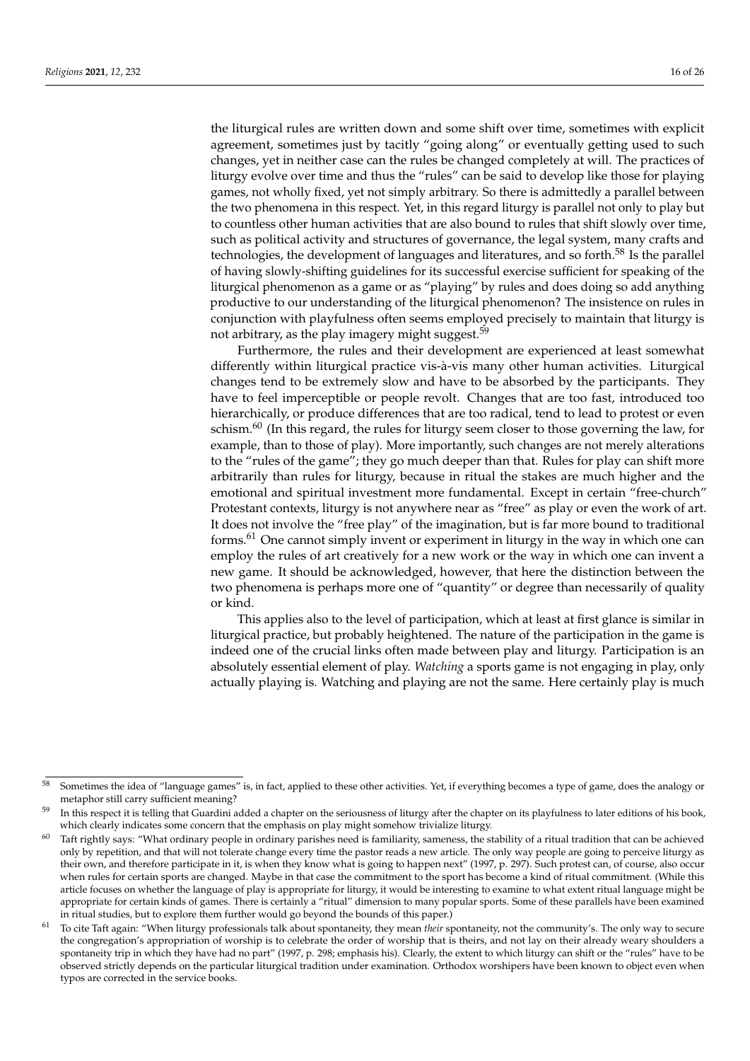the liturgical rules are written down and some shift over time, sometimes with explicit agreement, sometimes just by tacitly "going along" or eventually getting used to such changes, yet in neither case can the rules be changed completely at will. The practices of liturgy evolve over time and thus the "rules" can be said to develop like those for playing games, not wholly fixed, yet not simply arbitrary. So there is admittedly a parallel between the two phenomena in this respect. Yet, in this regard liturgy is parallel not only to play but to countless other human activities that are also bound to rules that shift slowly over time, such as political activity and structures of governance, the legal system, many crafts and technologies, the development of languages and literatures, and so forth.<sup>58</sup> Is the parallel of having slowly-shifting guidelines for its successful exercise sufficient for speaking of the liturgical phenomenon as a game or as "playing" by rules and does doing so add anything productive to our understanding of the liturgical phenomenon? The insistence on rules in conjunction with playfulness often seems employed precisely to maintain that liturgy is not arbitrary, as the play imagery might suggest.<sup>59</sup>

Furthermore, the rules and their development are experienced at least somewhat differently within liturgical practice vis-à-vis many other human activities. Liturgical changes tend to be extremely slow and have to be absorbed by the participants. They have to feel imperceptible or people revolt. Changes that are too fast, introduced too hierarchically, or produce differences that are too radical, tend to lead to protest or even schism.<sup>60</sup> (In this regard, the rules for liturgy seem closer to those governing the law, for example, than to those of play). More importantly, such changes are not merely alterations to the "rules of the game"; they go much deeper than that. Rules for play can shift more arbitrarily than rules for liturgy, because in ritual the stakes are much higher and the emotional and spiritual investment more fundamental. Except in certain "free-church" Protestant contexts, liturgy is not anywhere near as "free" as play or even the work of art. It does not involve the "free play" of the imagination, but is far more bound to traditional forms.<sup>61</sup> One cannot simply invent or experiment in liturgy in the way in which one can employ the rules of art creatively for a new work or the way in which one can invent a new game. It should be acknowledged, however, that here the distinction between the two phenomena is perhaps more one of "quantity" or degree than necessarily of quality or kind.

This applies also to the level of participation, which at least at first glance is similar in liturgical practice, but probably heightened. The nature of the participation in the game is indeed one of the crucial links often made between play and liturgy. Participation is an absolutely essential element of play. *Watching* a sports game is not engaging in play, only actually playing is. Watching and playing are not the same. Here certainly play is much

<sup>58</sup> Sometimes the idea of "language games" is, in fact, applied to these other activities. Yet, if everything becomes a type of game, does the analogy or metaphor still carry sufficient meaning?

In this respect it is telling that Guardini added a chapter on the seriousness of liturgy after the chapter on its playfulness to later editions of his book, which clearly indicates some concern that the emphasis on play might somehow trivialize liturgy.

 $60$  Taft rightly says: "What ordinary people in ordinary parishes need is familiarity, sameness, the stability of a ritual tradition that can be achieved only by repetition, and that will not tolerate change every time the pastor reads a new article. The only way people are going to perceive liturgy as their own, and therefore participate in it, is when they know what is going to happen next" (1997, p. 297). Such protest can, of course, also occur when rules for certain sports are changed. Maybe in that case the commitment to the sport has become a kind of ritual commitment. (While this article focuses on whether the language of play is appropriate for liturgy, it would be interesting to examine to what extent ritual language might be appropriate for certain kinds of games. There is certainly a "ritual" dimension to many popular sports. Some of these parallels have been examined in ritual studies, but to explore them further would go beyond the bounds of this paper.)

<sup>61</sup> To cite Taft again: "When liturgy professionals talk about spontaneity, they mean *their* spontaneity, not the community's. The only way to secure the congregation's appropriation of worship is to celebrate the order of worship that is theirs, and not lay on their already weary shoulders a spontaneity trip in which they have had no part" (1997, p. 298; emphasis his). Clearly, the extent to which liturgy can shift or the "rules" have to be observed strictly depends on the particular liturgical tradition under examination. Orthodox worshipers have been known to object even when typos are corrected in the service books.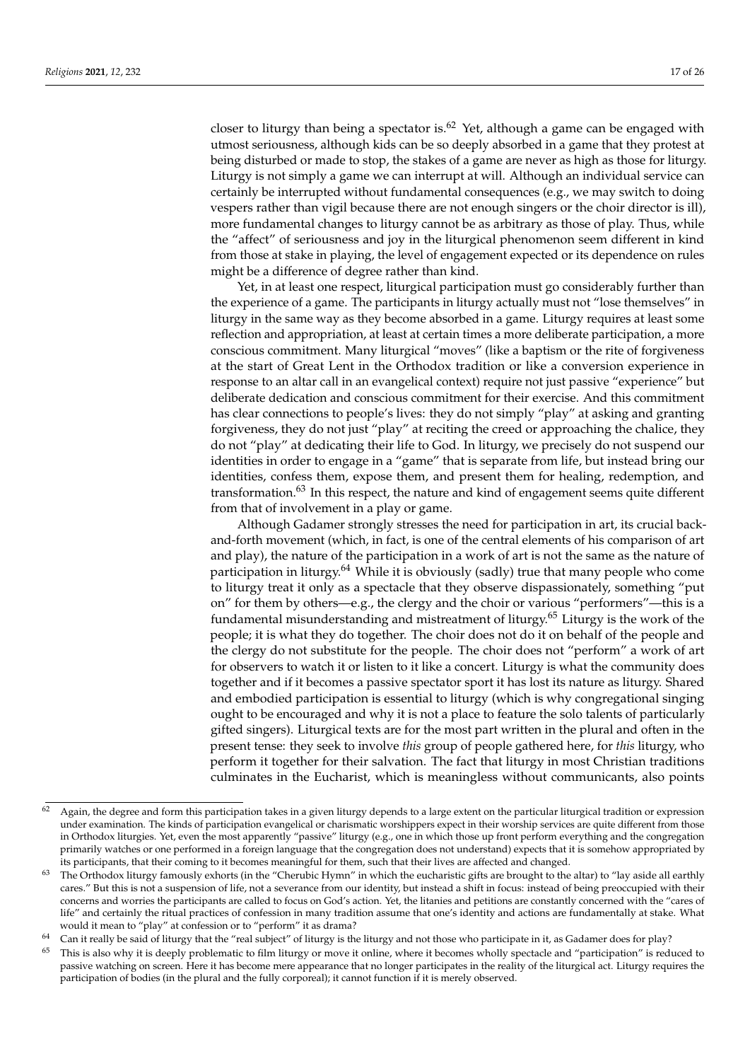closer to liturgy than being a spectator is. $62$  Yet, although a game can be engaged with utmost seriousness, although kids can be so deeply absorbed in a game that they protest at being disturbed or made to stop, the stakes of a game are never as high as those for liturgy. Liturgy is not simply a game we can interrupt at will. Although an individual service can certainly be interrupted without fundamental consequences (e.g., we may switch to doing vespers rather than vigil because there are not enough singers or the choir director is ill), more fundamental changes to liturgy cannot be as arbitrary as those of play. Thus, while the "affect" of seriousness and joy in the liturgical phenomenon seem different in kind from those at stake in playing, the level of engagement expected or its dependence on rules might be a difference of degree rather than kind.

Yet, in at least one respect, liturgical participation must go considerably further than the experience of a game. The participants in liturgy actually must not "lose themselves" in liturgy in the same way as they become absorbed in a game. Liturgy requires at least some reflection and appropriation, at least at certain times a more deliberate participation, a more conscious commitment. Many liturgical "moves" (like a baptism or the rite of forgiveness at the start of Great Lent in the Orthodox tradition or like a conversion experience in response to an altar call in an evangelical context) require not just passive "experience" but deliberate dedication and conscious commitment for their exercise. And this commitment has clear connections to people's lives: they do not simply "play" at asking and granting forgiveness, they do not just "play" at reciting the creed or approaching the chalice, they do not "play" at dedicating their life to God. In liturgy, we precisely do not suspend our identities in order to engage in a "game" that is separate from life, but instead bring our identities, confess them, expose them, and present them for healing, redemption, and transformation.<sup>63</sup> In this respect, the nature and kind of engagement seems quite different from that of involvement in a play or game.

Although Gadamer strongly stresses the need for participation in art, its crucial backand-forth movement (which, in fact, is one of the central elements of his comparison of art and play), the nature of the participation in a work of art is not the same as the nature of participation in liturgy. $64$  While it is obviously (sadly) true that many people who come to liturgy treat it only as a spectacle that they observe dispassionately, something "put on" for them by others—e.g., the clergy and the choir or various "performers"—this is a fundamental misunderstanding and mistreatment of liturgy.<sup>65</sup> Liturgy is the work of the people; it is what they do together. The choir does not do it on behalf of the people and the clergy do not substitute for the people. The choir does not "perform" a work of art for observers to watch it or listen to it like a concert. Liturgy is what the community does together and if it becomes a passive spectator sport it has lost its nature as liturgy. Shared and embodied participation is essential to liturgy (which is why congregational singing ought to be encouraged and why it is not a place to feature the solo talents of particularly gifted singers). Liturgical texts are for the most part written in the plural and often in the present tense: they seek to involve *this* group of people gathered here, for *this* liturgy, who perform it together for their salvation. The fact that liturgy in most Christian traditions culminates in the Eucharist, which is meaningless without communicants, also points

 $62$  Again, the degree and form this participation takes in a given liturgy depends to a large extent on the particular liturgical tradition or expression under examination. The kinds of participation evangelical or charismatic worshippers expect in their worship services are quite different from those in Orthodox liturgies. Yet, even the most apparently "passive" liturgy (e.g., one in which those up front perform everything and the congregation primarily watches or one performed in a foreign language that the congregation does not understand) expects that it is somehow appropriated by its participants, that their coming to it becomes meaningful for them, such that their lives are affected and changed.

<sup>&</sup>lt;sup>63</sup> The Orthodox liturgy famously exhorts (in the "Cherubic Hymn" in which the eucharistic gifts are brought to the altar) to "lay aside all earthly cares." But this is not a suspension of life, not a severance from our identity, but instead a shift in focus: instead of being preoccupied with their concerns and worries the participants are called to focus on God's action. Yet, the litanies and petitions are constantly concerned with the "cares of life" and certainly the ritual practices of confession in many tradition assume that one's identity and actions are fundamentally at stake. What would it mean to "play" at confession or to "perform" it as drama?

<sup>&</sup>lt;sup>64</sup> Can it really be said of liturgy that the "real subject" of liturgy is the liturgy and not those who participate in it, as Gadamer does for play?

This is also why it is deeply problematic to film liturgy or move it online, where it becomes wholly spectacle and "participation" is reduced to passive watching on screen. Here it has become mere appearance that no longer participates in the reality of the liturgical act. Liturgy requires the participation of bodies (in the plural and the fully corporeal); it cannot function if it is merely observed.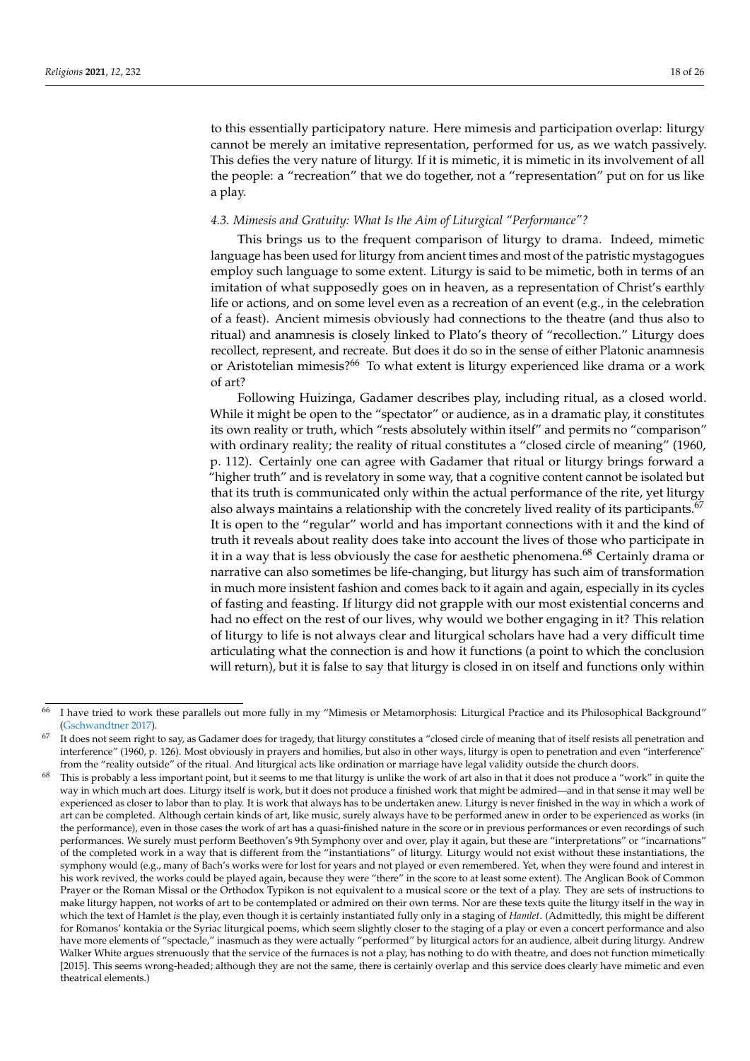to this essentially participatory nature. Here mimesis and participation overlap: liturgy cannot be merely an imitative representation, performed for us, as we watch passively. This defies the very nature of liturgy. If it is mimetic, it is mimetic in its involvement of all the people: a "recreation" that we do together, not a "representation" put on for us like a play.

## *4.3. Mimesis and Gratuity: What Is the Aim of Liturgical "Performance"?*

This brings us to the frequent comparison of liturgy to drama. Indeed, mimetic language has been used for liturgy from ancient times and most of the patristic mystagogues employ such language to some extent. Liturgy is said to be mimetic, both in terms of an imitation of what supposedly goes on in heaven, as a representation of Christ's earthly life or actions, and on some level even as a recreation of an event (e.g., in the celebration of a feast). Ancient mimesis obviously had connections to the theatre (and thus also to ritual) and anamnesis is closely linked to Plato's theory of "recollection." Liturgy does recollect, represent, and recreate. But does it do so in the sense of either Platonic anamnesis or Aristotelian mimesis?<sup>66</sup> To what extent is liturgy experienced like drama or a work of art?

Following Huizinga, Gadamer describes play, including ritual, as a closed world. While it might be open to the "spectator" or audience, as in a dramatic play, it constitutes its own reality or truth, which "rests absolutely within itself" and permits no "comparison" with ordinary reality; the reality of ritual constitutes a "closed circle of meaning" (1960, p. 112). Certainly one can agree with Gadamer that ritual or liturgy brings forward a "higher truth" and is revelatory in some way, that a cognitive content cannot be isolated but that its truth is communicated only within the actual performance of the rite, yet liturgy also always maintains a relationship with the concretely lived reality of its participants.<sup>67</sup> It is open to the "regular" world and has important connections with it and the kind of truth it reveals about reality does take into account the lives of those who participate in it in a way that is less obviously the case for aesthetic phenomena.<sup>68</sup> Certainly drama or narrative can also sometimes be life-changing, but liturgy has such aim of transformation in much more insistent fashion and comes back to it again and again, especially in its cycles of fasting and feasting. If liturgy did not grapple with our most existential concerns and had no effect on the rest of our lives, why would we bother engaging in it? This relation of liturgy to life is not always clear and liturgical scholars have had a very difficult time articulating what the connection is and how it functions (a point to which the conclusion will return), but it is false to say that liturgy is closed in on itself and functions only within

<sup>66</sup> I have tried to work these parallels out more fully in my "Mimesis or Metamorphosis: Liturgical Practice and its Philosophical Background" [\(Gschwandtner](#page-24-24) [2017\)](#page-24-24).

 $\overline{67}$  It does not seem right to say, as Gadamer does for tragedy, that liturgy constitutes a "closed circle of meaning that of itself resists all penetration and interference" (1960, p. 126). Most obviously in prayers and homilies, but also in other ways, liturgy is open to penetration and even "interference" from the "reality outside" of the ritual. And liturgical acts like ordination or marriage have legal validity outside the church doors.

This is probably a less important point, but it seems to me that liturgy is unlike the work of art also in that it does not produce a "work" in quite the way in which much art does. Liturgy itself is work, but it does not produce a finished work that might be admired—and in that sense it may well be experienced as closer to labor than to play. It is work that always has to be undertaken anew. Liturgy is never finished in the way in which a work of art can be completed. Although certain kinds of art, like music, surely always have to be performed anew in order to be experienced as works (in the performance), even in those cases the work of art has a quasi-finished nature in the score or in previous performances or even recordings of such performances. We surely must perform Beethoven's 9th Symphony over and over, play it again, but these are "interpretations" or "incarnations" of the completed work in a way that is different from the "instantiations" of liturgy. Liturgy would not exist without these instantiations, the symphony would (e.g., many of Bach's works were for lost for years and not played or even remembered. Yet, when they were found and interest in his work revived, the works could be played again, because they were "there" in the score to at least some extent). The Anglican Book of Common Prayer or the Roman Missal or the Orthodox Typikon is not equivalent to a musical score or the text of a play. They are sets of instructions to make liturgy happen, not works of art to be contemplated or admired on their own terms. Nor are these texts quite the liturgy itself in the way in which the text of Hamlet *is* the play, even though it is certainly instantiated fully only in a staging of *Hamlet*. (Admittedly, this might be different for Romanos' kontakia or the Syriac liturgical poems, which seem slightly closer to the staging of a play or even a concert performance and also have more elements of "spectacle," inasmuch as they were actually "performed" by liturgical actors for an audience, albeit during liturgy. Andrew Walker White argues strenuously that the service of the furnaces is not a play, has nothing to do with theatre, and does not function mimetically [2015]. This seems wrong-headed; although they are not the same, there is certainly overlap and this service does clearly have mimetic and even theatrical elements.)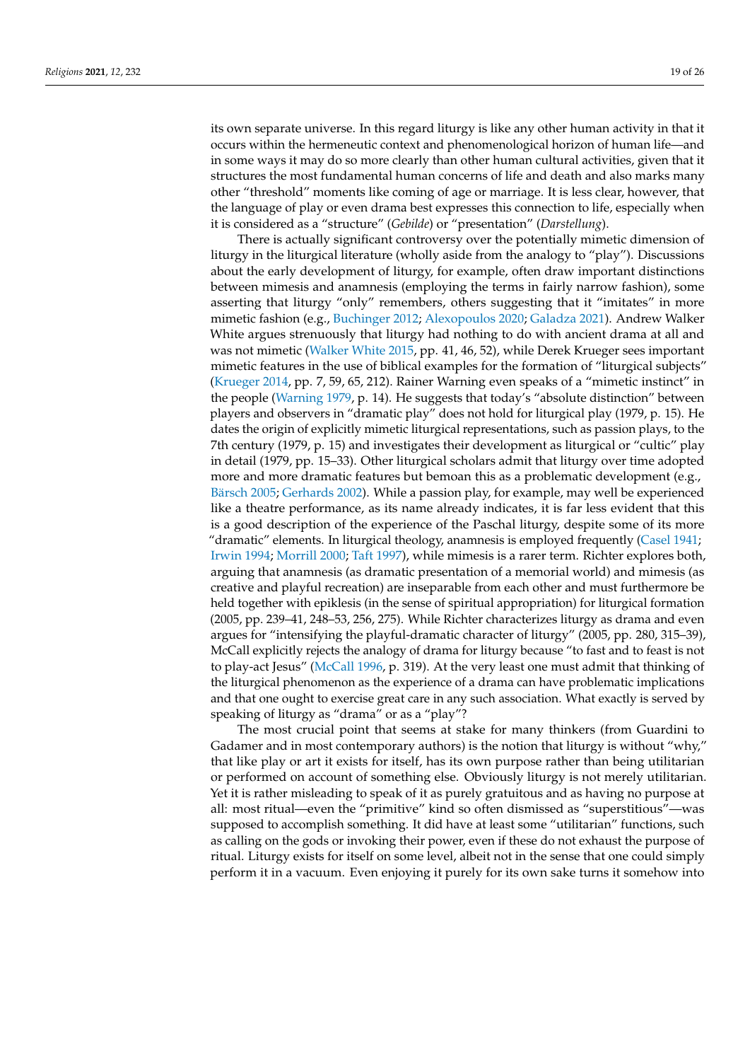its own separate universe. In this regard liturgy is like any other human activity in that it occurs within the hermeneutic context and phenomenological horizon of human life—and in some ways it may do so more clearly than other human cultural activities, given that it structures the most fundamental human concerns of life and death and also marks many other "threshold" moments like coming of age or marriage. It is less clear, however, that the language of play or even drama best expresses this connection to life, especially when it is considered as a "structure" (*Gebilde*) or "presentation" (*Darstellung*).

There is actually significant controversy over the potentially mimetic dimension of liturgy in the liturgical literature (wholly aside from the analogy to "play"). Discussions about the early development of liturgy, for example, often draw important distinctions between mimesis and anamnesis (employing the terms in fairly narrow fashion), some asserting that liturgy "only" remembers, others suggesting that it "imitates" in more mimetic fashion (e.g., [Buchinger](#page-23-4) [2012;](#page-23-4) [Alexopoulos](#page-23-5) [2020;](#page-23-5) [Galadza](#page-24-25) [2021\)](#page-24-25). Andrew Walker White argues strenuously that liturgy had nothing to do with ancient drama at all and was not mimetic [\(Walker White](#page-25-21) [2015,](#page-25-21) pp. 41, 46, 52), while Derek Krueger sees important mimetic features in the use of biblical examples for the formation of "liturgical subjects" [\(Krueger](#page-24-26) [2014,](#page-24-26) pp. 7, 59, 65, 212). Rainer Warning even speaks of a "mimetic instinct" in the people [\(Warning](#page-25-22) [1979,](#page-25-22) p. 14). He suggests that today's "absolute distinction" between players and observers in "dramatic play" does not hold for liturgical play (1979, p. 15). He dates the origin of explicitly mimetic liturgical representations, such as passion plays, to the 7th century (1979, p. 15) and investigates their development as liturgical or "cultic" play in detail (1979, pp. 15–33). Other liturgical scholars admit that liturgy over time adopted more and more dramatic features but bemoan this as a problematic development (e.g., [Bärsch](#page-23-2) [2005;](#page-23-2) [Gerhards](#page-24-27) [2002\)](#page-24-27). While a passion play, for example, may well be experienced like a theatre performance, as its name already indicates, it is far less evident that this is a good description of the experience of the Paschal liturgy, despite some of its more "dramatic" elements. In liturgical theology, anamnesis is employed frequently [\(Casel](#page-24-28) [1941;](#page-24-28) [Irwin](#page-24-29) [1994;](#page-24-29) [Morrill](#page-24-30) [2000;](#page-24-30) [Taft](#page-25-18) [1997\)](#page-25-18), while mimesis is a rarer term. Richter explores both, arguing that anamnesis (as dramatic presentation of a memorial world) and mimesis (as creative and playful recreation) are inseparable from each other and must furthermore be held together with epiklesis (in the sense of spiritual appropriation) for liturgical formation (2005, pp. 239–41, 248–53, 256, 275). While Richter characterizes liturgy as drama and even argues for "intensifying the playful-dramatic character of liturgy" (2005, pp. 280, 315–39), McCall explicitly rejects the analogy of drama for liturgy because "to fast and to feast is not to play-act Jesus" [\(McCall](#page-24-31) [1996,](#page-24-31) p. 319). At the very least one must admit that thinking of the liturgical phenomenon as the experience of a drama can have problematic implications and that one ought to exercise great care in any such association. What exactly is served by speaking of liturgy as "drama" or as a "play"?

The most crucial point that seems at stake for many thinkers (from Guardini to Gadamer and in most contemporary authors) is the notion that liturgy is without "why," that like play or art it exists for itself, has its own purpose rather than being utilitarian or performed on account of something else. Obviously liturgy is not merely utilitarian. Yet it is rather misleading to speak of it as purely gratuitous and as having no purpose at all: most ritual—even the "primitive" kind so often dismissed as "superstitious"—was supposed to accomplish something. It did have at least some "utilitarian" functions, such as calling on the gods or invoking their power, even if these do not exhaust the purpose of ritual. Liturgy exists for itself on some level, albeit not in the sense that one could simply perform it in a vacuum. Even enjoying it purely for its own sake turns it somehow into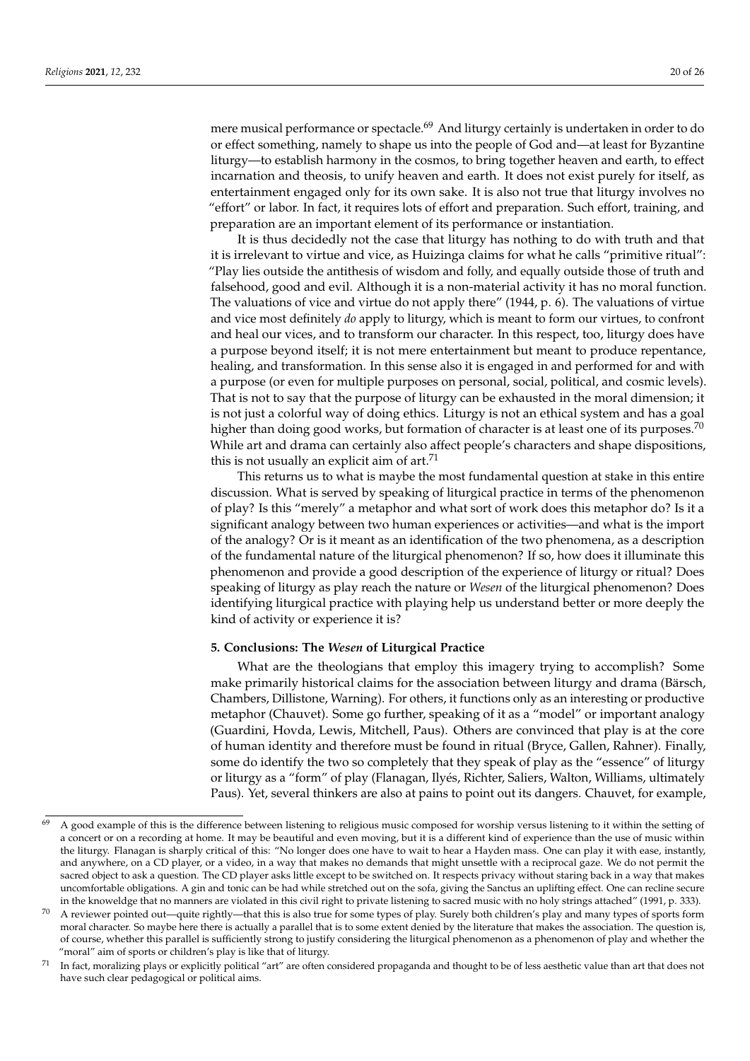mere musical performance or spectacle.<sup>69</sup> And liturgy certainly is undertaken in order to do or effect something, namely to shape us into the people of God and—at least for Byzantine liturgy—to establish harmony in the cosmos, to bring together heaven and earth, to effect incarnation and theosis, to unify heaven and earth. It does not exist purely for itself, as entertainment engaged only for its own sake. It is also not true that liturgy involves no "effort" or labor. In fact, it requires lots of effort and preparation. Such effort, training, and preparation are an important element of its performance or instantiation.

It is thus decidedly not the case that liturgy has nothing to do with truth and that it is irrelevant to virtue and vice, as Huizinga claims for what he calls "primitive ritual": "Play lies outside the antithesis of wisdom and folly, and equally outside those of truth and falsehood, good and evil. Although it is a non-material activity it has no moral function. The valuations of vice and virtue do not apply there" (1944, p. 6). The valuations of virtue and vice most definitely *do* apply to liturgy, which is meant to form our virtues, to confront and heal our vices, and to transform our character. In this respect, too, liturgy does have a purpose beyond itself; it is not mere entertainment but meant to produce repentance, healing, and transformation. In this sense also it is engaged in and performed for and with a purpose (or even for multiple purposes on personal, social, political, and cosmic levels). That is not to say that the purpose of liturgy can be exhausted in the moral dimension; it is not just a colorful way of doing ethics. Liturgy is not an ethical system and has a goal higher than doing good works, but formation of character is at least one of its purposes.<sup>70</sup> While art and drama can certainly also affect people's characters and shape dispositions, this is not usually an explicit aim of  $art.<sup>71</sup>$ 

This returns us to what is maybe the most fundamental question at stake in this entire discussion. What is served by speaking of liturgical practice in terms of the phenomenon of play? Is this "merely" a metaphor and what sort of work does this metaphor do? Is it a significant analogy between two human experiences or activities—and what is the import of the analogy? Or is it meant as an identification of the two phenomena, as a description of the fundamental nature of the liturgical phenomenon? If so, how does it illuminate this phenomenon and provide a good description of the experience of liturgy or ritual? Does speaking of liturgy as play reach the nature or *Wesen* of the liturgical phenomenon? Does identifying liturgical practice with playing help us understand better or more deeply the kind of activity or experience it is?

## **5. Conclusions: The** *Wesen* **of Liturgical Practice**

What are the theologians that employ this imagery trying to accomplish? Some make primarily historical claims for the association between liturgy and drama (Bärsch, Chambers, Dillistone, Warning). For others, it functions only as an interesting or productive metaphor (Chauvet). Some go further, speaking of it as a "model" or important analogy (Guardini, Hovda, Lewis, Mitchell, Paus). Others are convinced that play is at the core of human identity and therefore must be found in ritual (Bryce, Gallen, Rahner). Finally, some do identify the two so completely that they speak of play as the "essence" of liturgy or liturgy as a "form" of play (Flanagan, Ilyés, Richter, Saliers, Walton, Williams, ultimately Paus). Yet, several thinkers are also at pains to point out its dangers. Chauvet, for example,

<sup>&</sup>lt;sup>69</sup> A good example of this is the difference between listening to religious music composed for worship versus listening to it within the setting of a concert or on a recording at home. It may be beautiful and even moving, but it is a different kind of experience than the use of music within the liturgy. Flanagan is sharply critical of this: "No longer does one have to wait to hear a Hayden mass. One can play it with ease, instantly, and anywhere, on a CD player, or a video, in a way that makes no demands that might unsettle with a reciprocal gaze. We do not permit the sacred object to ask a question. The CD player asks little except to be switched on. It respects privacy without staring back in a way that makes uncomfortable obligations. A gin and tonic can be had while stretched out on the sofa, giving the Sanctus an uplifting effect. One can recline secure in the knoweldge that no manners are violated in this civil right to private listening to sacred music with no holy strings attached" (1991, p. 333).

<sup>70</sup> A reviewer pointed out—quite rightly—that this is also true for some types of play. Surely both children's play and many types of sports form moral character. So maybe here there is actually a parallel that is to some extent denied by the literature that makes the association. The question is, of course, whether this parallel is sufficiently strong to justify considering the liturgical phenomenon as a phenomenon of play and whether the "moral" aim of sports or children's play is like that of liturgy.

<sup>&</sup>lt;sup>71</sup> In fact, moralizing plays or explicitly political "art" are often considered propaganda and thought to be of less aesthetic value than art that does not have such clear pedagogical or political aims.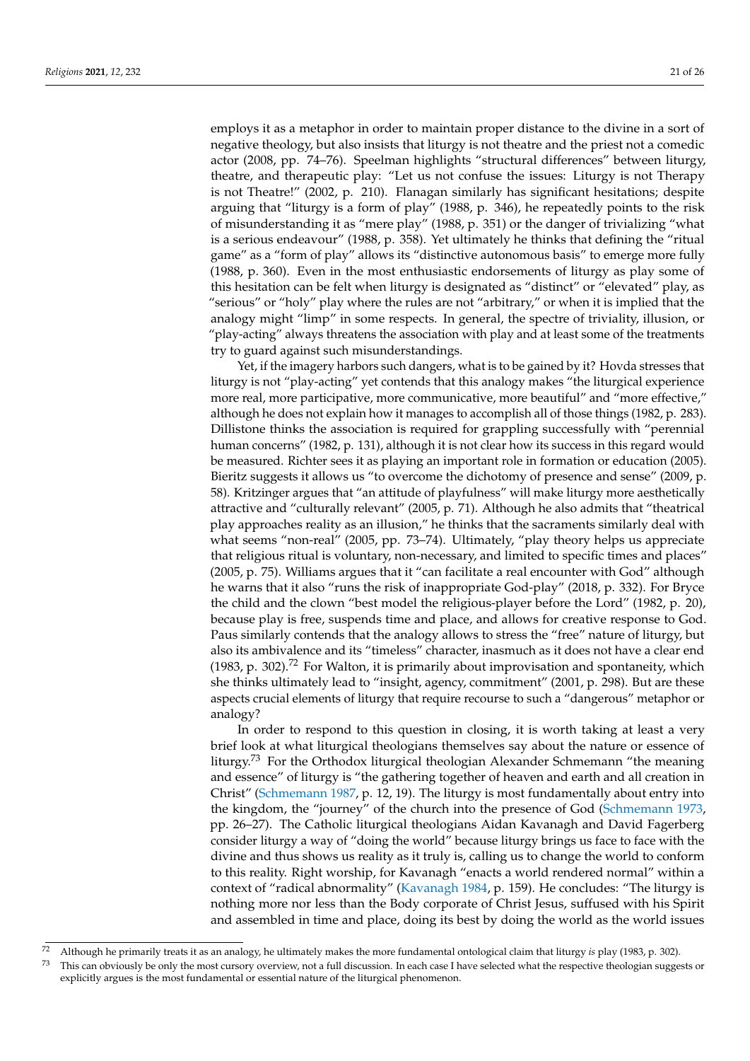employs it as a metaphor in order to maintain proper distance to the divine in a sort of negative theology, but also insists that liturgy is not theatre and the priest not a comedic actor (2008, pp. 74–76). Speelman highlights "structural differences" between liturgy, theatre, and therapeutic play: "Let us not confuse the issues: Liturgy is not Therapy is not Theatre!" (2002, p. 210). Flanagan similarly has significant hesitations; despite arguing that "liturgy is a form of play" (1988, p. 346), he repeatedly points to the risk of misunderstanding it as "mere play" (1988, p. 351) or the danger of trivializing "what is a serious endeavour" (1988, p. 358). Yet ultimately he thinks that defining the "ritual game" as a "form of play" allows its "distinctive autonomous basis" to emerge more fully (1988, p. 360). Even in the most enthusiastic endorsements of liturgy as play some of this hesitation can be felt when liturgy is designated as "distinct" or "elevated" play, as "serious" or "holy" play where the rules are not "arbitrary," or when it is implied that the analogy might "limp" in some respects. In general, the spectre of triviality, illusion, or "play-acting" always threatens the association with play and at least some of the treatments try to guard against such misunderstandings.

Yet, if the imagery harbors such dangers, what is to be gained by it? Hovda stresses that liturgy is not "play-acting" yet contends that this analogy makes "the liturgical experience more real, more participative, more communicative, more beautiful" and "more effective," although he does not explain how it manages to accomplish all of those things (1982, p. 283). Dillistone thinks the association is required for grappling successfully with "perennial human concerns" (1982, p. 131), although it is not clear how its success in this regard would be measured. Richter sees it as playing an important role in formation or education (2005). Bieritz suggests it allows us "to overcome the dichotomy of presence and sense" (2009, p. 58). Kritzinger argues that "an attitude of playfulness" will make liturgy more aesthetically attractive and "culturally relevant" (2005, p. 71). Although he also admits that "theatrical play approaches reality as an illusion," he thinks that the sacraments similarly deal with what seems "non-real" (2005, pp. 73–74). Ultimately, "play theory helps us appreciate that religious ritual is voluntary, non-necessary, and limited to specific times and places" (2005, p. 75). Williams argues that it "can facilitate a real encounter with God" although he warns that it also "runs the risk of inappropriate God-play" (2018, p. 332). For Bryce the child and the clown "best model the religious-player before the Lord" (1982, p. 20), because play is free, suspends time and place, and allows for creative response to God. Paus similarly contends that the analogy allows to stress the "free" nature of liturgy, but also its ambivalence and its "timeless" character, inasmuch as it does not have a clear end (1983, p. 302).<sup>72</sup> For Walton, it is primarily about improvisation and spontaneity, which she thinks ultimately lead to "insight, agency, commitment" (2001, p. 298). But are these aspects crucial elements of liturgy that require recourse to such a "dangerous" metaphor or analogy?

In order to respond to this question in closing, it is worth taking at least a very brief look at what liturgical theologians themselves say about the nature or essence of liturgy.<sup>73</sup> For the Orthodox liturgical theologian Alexander Schmemann "the meaning and essence" of liturgy is "the gathering together of heaven and earth and all creation in Christ" [\(Schmemann](#page-25-23) [1987,](#page-25-23) p. 12, 19). The liturgy is most fundamentally about entry into the kingdom, the "journey" of the church into the presence of God [\(Schmemann](#page-25-24) [1973,](#page-25-24) pp. 26–27). The Catholic liturgical theologians Aidan Kavanagh and David Fagerberg consider liturgy a way of "doing the world" because liturgy brings us face to face with the divine and thus shows us reality as it truly is, calling us to change the world to conform to this reality. Right worship, for Kavanagh "enacts a world rendered normal" within a context of "radical abnormality" [\(Kavanagh](#page-24-32) [1984,](#page-24-32) p. 159). He concludes: "The liturgy is nothing more nor less than the Body corporate of Christ Jesus, suffused with his Spirit and assembled in time and place, doing its best by doing the world as the world issues

<sup>72</sup> Although he primarily treats it as an analogy, he ultimately makes the more fundamental ontological claim that liturgy *is* play (1983, p. 302).<br><sup>73</sup> This and detective subside a set the more consider note full discussi

This can obviously be only the most cursory overview, not a full discussion. In each case I have selected what the respective theologian suggests or explicitly argues is the most fundamental or essential nature of the liturgical phenomenon.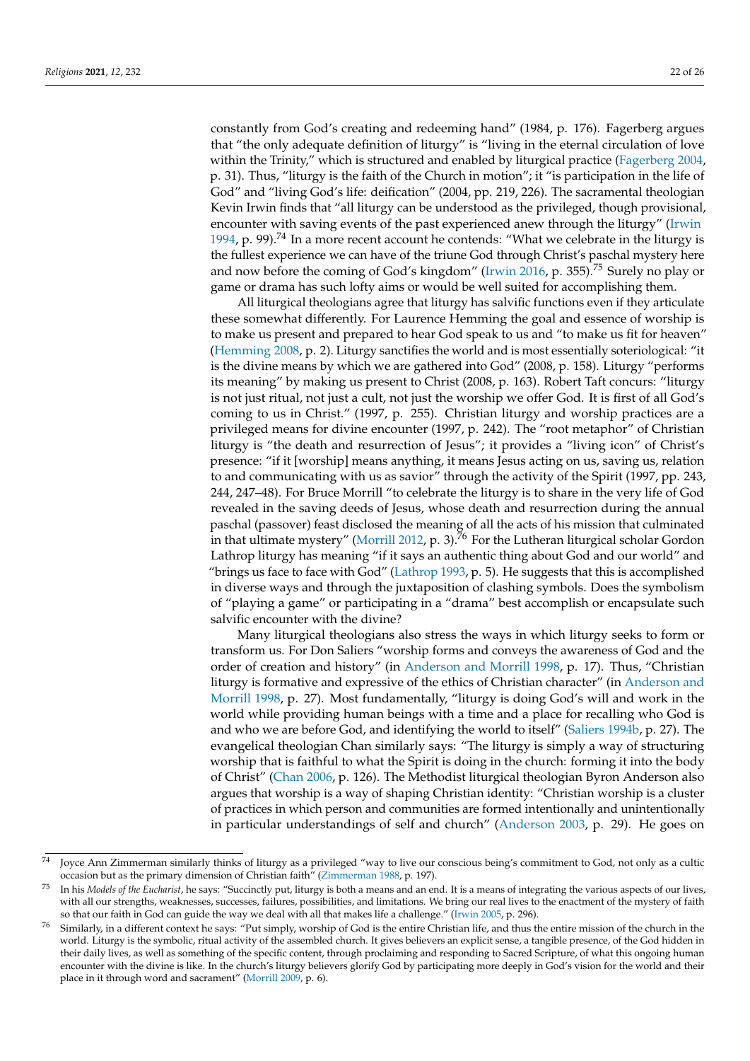constantly from God's creating and redeeming hand" (1984, p. 176). Fagerberg argues that "the only adequate definition of liturgy" is "living in the eternal circulation of love within the Trinity," which is structured and enabled by liturgical practice [\(Fagerberg](#page-24-33) [2004,](#page-24-33) p. 31). Thus, "liturgy is the faith of the Church in motion"; it "is participation in the life of God" and "living God's life: deification" (2004, pp. 219, 226). The sacramental theologian Kevin Irwin finds that "all liturgy can be understood as the privileged, though provisional, encounter with saving events of the past experienced anew through the liturgy" [\(Irwin](#page-24-29) [1994,](#page-24-29) p. 99).<sup>74</sup> In a more recent account he contends: "What we celebrate in the liturgy is the fullest experience we can have of the triune God through Christ's paschal mystery here and now before the coming of God's kingdom" [\(Irwin](#page-24-34) [2016,](#page-24-34) p. 355).<sup>75</sup> Surely no play or game or drama has such lofty aims or would be well suited for accomplishing them.

All liturgical theologians agree that liturgy has salvific functions even if they articulate these somewhat differently. For Laurence Hemming the goal and essence of worship is to make us present and prepared to hear God speak to us and "to make us fit for heaven" [\(Hemming](#page-24-35) [2008,](#page-24-35) p. 2). Liturgy sanctifies the world and is most essentially soteriological: "it is the divine means by which we are gathered into God" (2008, p. 158). Liturgy "performs its meaning" by making us present to Christ (2008, p. 163). Robert Taft concurs: "liturgy is not just ritual, not just a cult, not just the worship we offer God. It is first of all God's coming to us in Christ." (1997, p. 255). Christian liturgy and worship practices are a privileged means for divine encounter (1997, p. 242). The "root metaphor" of Christian liturgy is "the death and resurrection of Jesus"; it provides a "living icon" of Christ's presence: "if it [worship] means anything, it means Jesus acting on us, saving us, relation to and communicating with us as savior" through the activity of the Spirit (1997, pp. 243, 244, 247–48). For Bruce Morrill "to celebrate the liturgy is to share in the very life of God revealed in the saving deeds of Jesus, whose death and resurrection during the annual paschal (passover) feast disclosed the meaning of all the acts of his mission that culminated in that ultimate mystery" [\(Morrill](#page-25-25) [2012,](#page-25-25) p. 3).<sup>76</sup> For the Lutheran liturgical scholar Gordon Lathrop liturgy has meaning "if it says an authentic thing about God and our world" and "brings us face to face with God" [\(Lathrop](#page-24-36) [1993,](#page-24-36) p. 5). He suggests that this is accomplished in diverse ways and through the juxtaposition of clashing symbols. Does the symbolism of "playing a game" or participating in a "drama" best accomplish or encapsulate such salvific encounter with the divine?

Many liturgical theologians also stress the ways in which liturgy seeks to form or transform us. For Don Saliers "worship forms and conveys the awareness of God and the order of creation and history" (in [Anderson and Morrill](#page-23-6) [1998,](#page-23-6) p. 17). Thus, "Christian liturgy is formative and expressive of the ethics of Christian character" (in [Anderson and](#page-23-6) [Morrill](#page-23-6) [1998,](#page-23-6) p. 27). Most fundamentally, "liturgy is doing God's will and work in the world while providing human beings with a time and a place for recalling who God is and who we are before God, and identifying the world to itself" [\(Saliers](#page-25-26) [1994b,](#page-25-26) p. 27). The evangelical theologian Chan similarly says: "The liturgy is simply a way of structuring worship that is faithful to what the Spirit is doing in the church: forming it into the body of Christ" [\(Chan](#page-24-21) [2006,](#page-24-21) p. 126). The Methodist liturgical theologian Byron Anderson also argues that worship is a way of shaping Christian identity: "Christian worship is a cluster of practices in which person and communities are formed intentionally and unintentionally in particular understandings of self and church" [\(Anderson](#page-23-7) [2003,](#page-23-7) p. 29). He goes on

Joyce Ann Zimmerman similarly thinks of liturgy as a privileged "way to live our conscious being's commitment to God, not only as a cultic occasion but as the primary dimension of Christian faith" [\(Zimmerman](#page-25-27) [1988,](#page-25-27) p. 197).

<sup>75</sup> In his *Models of the Eucharist*, he says: "Succinctly put, liturgy is both a means and an end. It is a means of integrating the various aspects of our lives, with all our strengths, weaknesses, successes, failures, possibilities, and limitations. We bring our real lives to the enactment of the mystery of faith so that our faith in God can guide the way we deal with all that makes life a challenge." [\(Irwin](#page-24-37) [2005,](#page-24-37) p. 296).

<sup>76</sup> Similarly, in a different context he says: "Put simply, worship of God is the entire Christian life, and thus the entire mission of the church in the world. Liturgy is the symbolic, ritual activity of the assembled church. It gives believers an explicit sense, a tangible presence, of the God hidden in their daily lives, as well as something of the specific content, through proclaiming and responding to Sacred Scripture, of what this ongoing human encounter with the divine is like. In the church's liturgy believers glorify God by participating more deeply in God's vision for the world and their place in it through word and sacrament" [\(Morrill](#page-24-38) [2009,](#page-24-38) p. 6).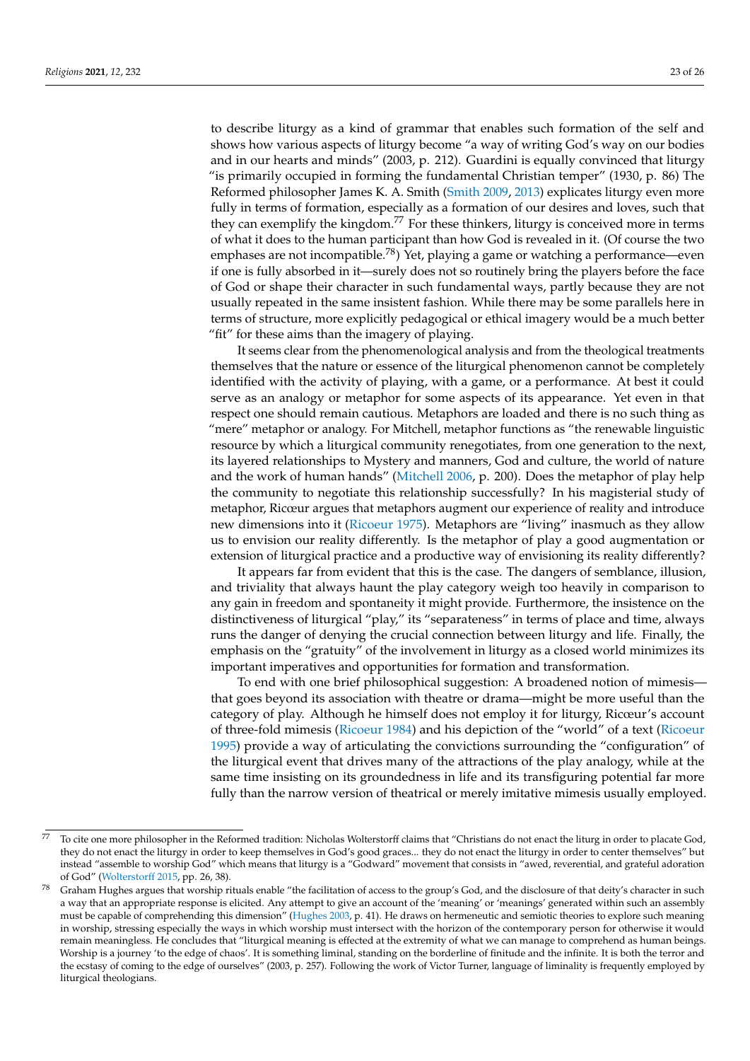to describe liturgy as a kind of grammar that enables such formation of the self and shows how various aspects of liturgy become "a way of writing God's way on our bodies and in our hearts and minds" (2003, p. 212). Guardini is equally convinced that liturgy "is primarily occupied in forming the fundamental Christian temper" (1930, p. 86) The Reformed philosopher James K. A. Smith [\(Smith](#page-25-28) [2009,](#page-25-28) [2013\)](#page-25-20) explicates liturgy even more fully in terms of formation, especially as a formation of our desires and loves, such that they can exemplify the kingdom.<sup>77</sup> For these thinkers, liturgy is conceived more in terms of what it does to the human participant than how God is revealed in it. (Of course the two emphases are not incompatible.<sup>78</sup>) Yet, playing a game or watching a performance—even if one is fully absorbed in it—surely does not so routinely bring the players before the face of God or shape their character in such fundamental ways, partly because they are not usually repeated in the same insistent fashion. While there may be some parallels here in terms of structure, more explicitly pedagogical or ethical imagery would be a much better "fit" for these aims than the imagery of playing.

It seems clear from the phenomenological analysis and from the theological treatments themselves that the nature or essence of the liturgical phenomenon cannot be completely identified with the activity of playing, with a game, or a performance. At best it could serve as an analogy or metaphor for some aspects of its appearance. Yet even in that respect one should remain cautious. Metaphors are loaded and there is no such thing as "mere" metaphor or analogy. For Mitchell, metaphor functions as "the renewable linguistic resource by which a liturgical community renegotiates, from one generation to the next, its layered relationships to Mystery and manners, God and culture, the world of nature and the work of human hands" [\(Mitchell](#page-24-20) [2006,](#page-24-20) p. 200). Does the metaphor of play help the community to negotiate this relationship successfully? In his magisterial study of metaphor, Ricœur argues that metaphors augment our experience of reality and introduce new dimensions into it [\(Ricoeur](#page-25-29) [1975\)](#page-25-29). Metaphors are "living" inasmuch as they allow us to envision our reality differently. Is the metaphor of play a good augmentation or extension of liturgical practice and a productive way of envisioning its reality differently?

It appears far from evident that this is the case. The dangers of semblance, illusion, and triviality that always haunt the play category weigh too heavily in comparison to any gain in freedom and spontaneity it might provide. Furthermore, the insistence on the distinctiveness of liturgical "play," its "separateness" in terms of place and time, always runs the danger of denying the crucial connection between liturgy and life. Finally, the emphasis on the "gratuity" of the involvement in liturgy as a closed world minimizes its important imperatives and opportunities for formation and transformation.

To end with one brief philosophical suggestion: A broadened notion of mimesis that goes beyond its association with theatre or drama—might be more useful than the category of play. Although he himself does not employ it for liturgy, Ricœur's account of three-fold mimesis [\(Ricoeur](#page-25-30) [1984\)](#page-25-30) and his depiction of the "world" of a text [\(Ricoeur](#page-25-31) [1995\)](#page-25-31) provide a way of articulating the convictions surrounding the "configuration" of the liturgical event that drives many of the attractions of the play analogy, while at the same time insisting on its groundedness in life and its transfiguring potential far more fully than the narrow version of theatrical or merely imitative mimesis usually employed.

 $77$  To cite one more philosopher in the Reformed tradition: Nicholas Wolterstorff claims that "Christians do not enact the liturg in order to placate God, they do not enact the liturgy in order to keep themselves in God's good graces... they do not enact the liturgy in order to center themselves" but instead "assemble to worship God" which means that liturgy is a "Godward" movement that consists in "awed, reverential, and grateful adoration of God" [\(Wolterstorff](#page-25-32) [2015,](#page-25-32) pp. 26, 38).

Graham Hughes argues that worship rituals enable "the facilitation of access to the group's God, and the disclosure of that deity's character in such a way that an appropriate response is elicited. Any attempt to give an account of the 'meaning' or 'meanings' generated within such an assembly must be capable of comprehending this dimension" [\(Hughes](#page-24-39) [2003,](#page-24-39) p. 41). He draws on hermeneutic and semiotic theories to explore such meaning in worship, stressing especially the ways in which worship must intersect with the horizon of the contemporary person for otherwise it would remain meaningless. He concludes that "liturgical meaning is effected at the extremity of what we can manage to comprehend as human beings. Worship is a journey 'to the edge of chaos'. It is something liminal, standing on the borderline of finitude and the infinite. It is both the terror and the ecstasy of coming to the edge of ourselves" (2003, p. 257). Following the work of Victor Turner, language of liminality is frequently employed by liturgical theologians.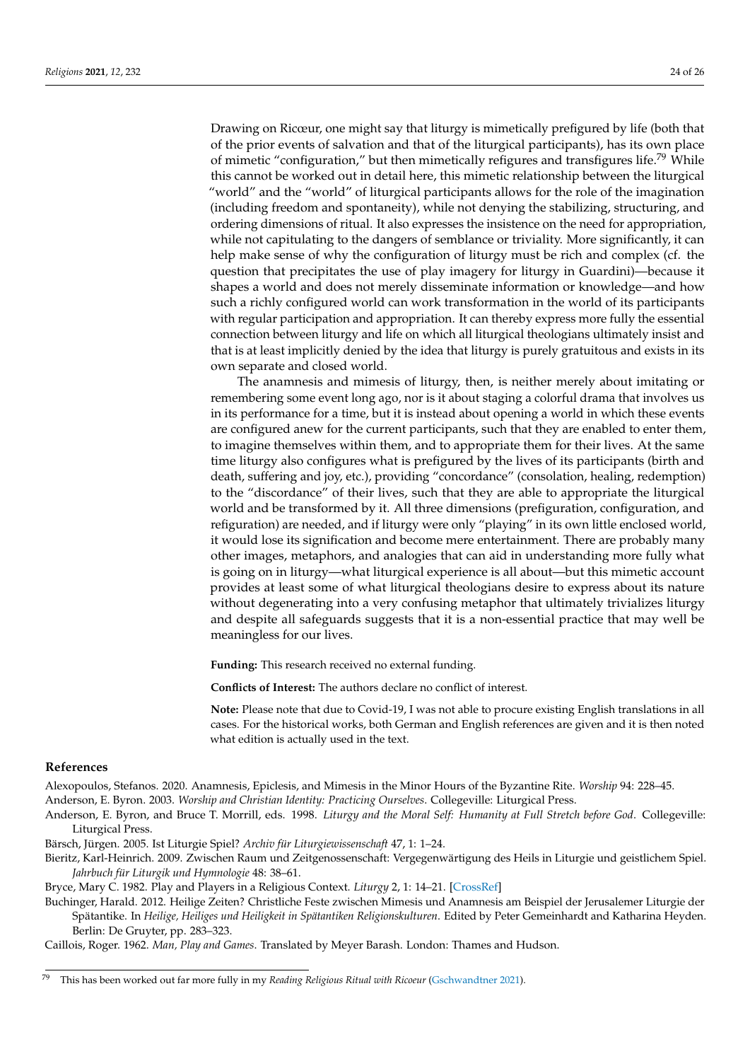Drawing on Ricœur, one might say that liturgy is mimetically prefigured by life (both that of the prior events of salvation and that of the liturgical participants), has its own place of mimetic "configuration," but then mimetically refigures and transfigures life.<sup>79</sup> While this cannot be worked out in detail here, this mimetic relationship between the liturgical "world" and the "world" of liturgical participants allows for the role of the imagination (including freedom and spontaneity), while not denying the stabilizing, structuring, and ordering dimensions of ritual. It also expresses the insistence on the need for appropriation, while not capitulating to the dangers of semblance or triviality. More significantly, it can help make sense of why the configuration of liturgy must be rich and complex (cf. the question that precipitates the use of play imagery for liturgy in Guardini)—because it shapes a world and does not merely disseminate information or knowledge—and how such a richly configured world can work transformation in the world of its participants with regular participation and appropriation. It can thereby express more fully the essential connection between liturgy and life on which all liturgical theologians ultimately insist and that is at least implicitly denied by the idea that liturgy is purely gratuitous and exists in its own separate and closed world.

The anamnesis and mimesis of liturgy, then, is neither merely about imitating or remembering some event long ago, nor is it about staging a colorful drama that involves us in its performance for a time, but it is instead about opening a world in which these events are configured anew for the current participants, such that they are enabled to enter them, to imagine themselves within them, and to appropriate them for their lives. At the same time liturgy also configures what is prefigured by the lives of its participants (birth and death, suffering and joy, etc.), providing "concordance" (consolation, healing, redemption) to the "discordance" of their lives, such that they are able to appropriate the liturgical world and be transformed by it. All three dimensions (prefiguration, configuration, and refiguration) are needed, and if liturgy were only "playing" in its own little enclosed world, it would lose its signification and become mere entertainment. There are probably many other images, metaphors, and analogies that can aid in understanding more fully what is going on in liturgy—what liturgical experience is all about—but this mimetic account provides at least some of what liturgical theologians desire to express about its nature without degenerating into a very confusing metaphor that ultimately trivializes liturgy and despite all safeguards suggests that it is a non-essential practice that may well be meaningless for our lives.

**Funding:** This research received no external funding.

**Conflicts of Interest:** The authors declare no conflict of interest.

**Note:** Please note that due to Covid-19, I was not able to procure existing English translations in all cases. For the historical works, both German and English references are given and it is then noted what edition is actually used in the text.

#### **References**

<span id="page-23-5"></span>Alexopoulos, Stefanos. 2020. Anamnesis, Epiclesis, and Mimesis in the Minor Hours of the Byzantine Rite. *Worship* 94: 228–45.

<span id="page-23-7"></span>Anderson, E. Byron. 2003. *Worship and Christian Identity: Practicing Ourselves*. Collegeville: Liturgical Press.

- <span id="page-23-6"></span>Anderson, E. Byron, and Bruce T. Morrill, eds. 1998. *Liturgy and the Moral Self: Humanity at Full Stretch before God*. Collegeville: Liturgical Press.
- <span id="page-23-2"></span>Bärsch, Jürgen. 2005. Ist Liturgie Spiel? *Archiv für Liturgiewissenschaft* 47, 1: 1–24.
- <span id="page-23-3"></span>Bieritz, Karl-Heinrich. 2009. Zwischen Raum und Zeitgenossenschaft: Vergegenwärtigung des Heils in Liturgie und geistlichem Spiel. *Jahrbuch für Liturgik und Hymnologie* 48: 38–61.

<span id="page-23-0"></span>Bryce, Mary C. 1982. Play and Players in a Religious Context. *Liturgy* 2, 1: 14–21. [\[CrossRef\]](http://doi.org/10.1080/04580638109408584)

<span id="page-23-4"></span>Buchinger, Harald. 2012. Heilige Zeiten? Christliche Feste zwischen Mimesis und Anamnesis am Beispiel der Jerusalemer Liturgie der Spätantike. In *Heilige, Heiliges und Heiligkeit in Spätantiken Religionskulturen*. Edited by Peter Gemeinhardt and Katharina Heyden. Berlin: De Gruyter, pp. 283–323.

<span id="page-23-1"></span>Caillois, Roger. 1962. *Man, Play and Games*. Translated by Meyer Barash. London: Thames and Hudson.

<sup>79</sup> This has been worked out far more fully in my *Reading Religious Ritual with Ricoeur* [\(Gschwandtner](#page-24-40) [2021\)](#page-24-40).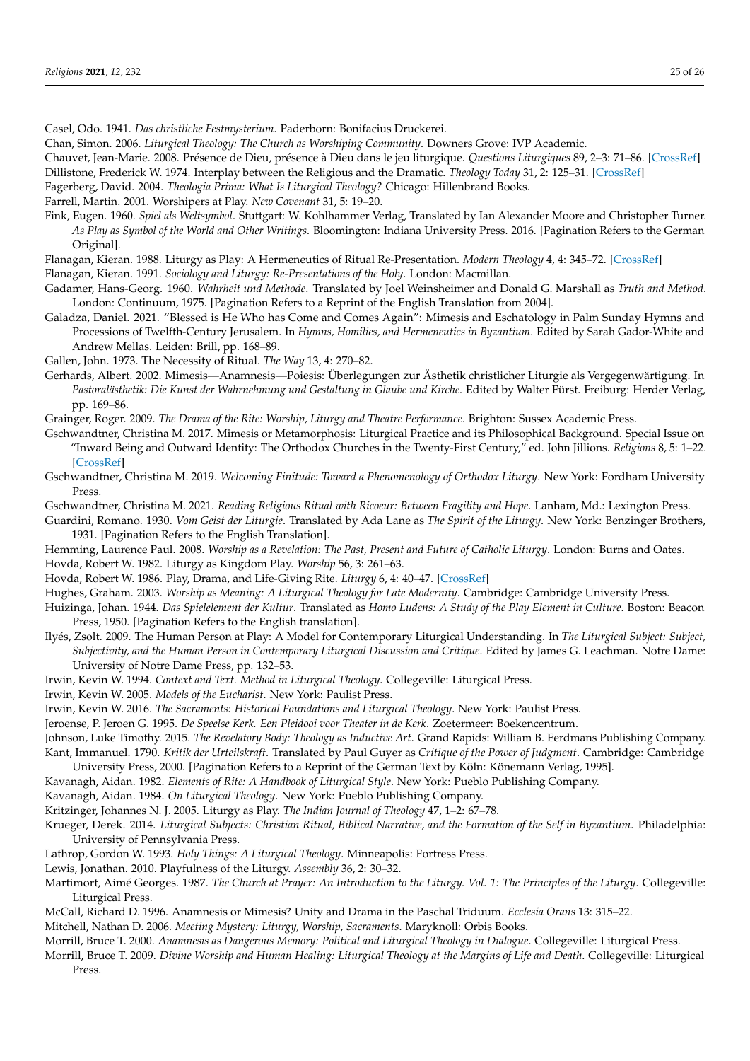<span id="page-24-28"></span>Casel, Odo. 1941. *Das christliche Festmysterium*. Paderborn: Bonifacius Druckerei.

<span id="page-24-21"></span>Chan, Simon. 2006. *Liturgical Theology: The Church as Worshiping Community*. Downers Grove: IVP Academic.

<span id="page-24-16"></span><span id="page-24-6"></span>Chauvet, Jean-Marie. 2008. Présence de Dieu, présence à Dieu dans le jeu liturgique. *Questions Liturgiques* 89, 2–3: 71–86. [\[CrossRef\]](http://doi.org/10.2143/QL.89.2.2033508) Dillistone, Frederick W. 1974. Interplay between the Religious and the Dramatic. *Theology Today* 31, 2: 125–31. [\[CrossRef\]](http://doi.org/10.1177/004057367403100205)

<span id="page-24-33"></span>Fagerberg, David. 2004. *Theologia Prima: What Is Liturgical Theology?* Chicago: Hillenbrand Books.

<span id="page-24-8"></span>Farrell, Martin. 2001. Worshipers at Play. *New Covenant* 31, 5: 19–20.

<span id="page-24-4"></span>Fink, Eugen. 1960. *Spiel als Weltsymbol*. Stuttgart: W. Kohlhammer Verlag, Translated by Ian Alexander Moore and Christopher Turner. *As Play as Symbol of the World and Other Writings*. Bloomington: Indiana University Press. 2016. [Pagination Refers to the German Original].

<span id="page-24-14"></span><span id="page-24-13"></span>Flanagan, Kieran. 1988. Liturgy as Play: A Hermeneutics of Ritual Re-Presentation. *Modern Theology* 4, 4: 345–72. [\[CrossRef\]](http://doi.org/10.1111/j.1468-0025.1988.tb00176.x) Flanagan, Kieran. 1991. *Sociology and Liturgy: Re-Presentations of the Holy*. London: Macmillan.

<span id="page-24-7"></span>Gadamer, Hans-Georg. 1960. *Wahrheit und Methode*. Translated by Joel Weinsheimer and Donald G. Marshall as *Truth and Method*. London: Continuum, 1975. [Pagination Refers to a Reprint of the English Translation from 2004].

<span id="page-24-25"></span>Galadza, Daniel. 2021. "Blessed is He Who has Come and Comes Again": Mimesis and Eschatology in Palm Sunday Hymns and Processions of Twelfth-Century Jerusalem. In *Hymns, Homilies, and Hermeneutics in Byzantium*. Edited by Sarah Gador-White and Andrew Mellas. Leiden: Brill, pp. 168–89.

<span id="page-24-12"></span>Gallen, John. 1973. The Necessity of Ritual. *The Way* 13, 4: 270–82.

<span id="page-24-27"></span>Gerhards, Albert. 2002. Mimesis—Anamnesis—Poiesis: Überlegungen zur Ästhetik christlicher Liturgie als Vergegenwärtigung. In *Pastoralästhetik: Die Kunst der Wahrnehmung und Gestaltung in Glaube und Kirche*. Edited by Walter Fürst. Freiburg: Herder Verlag, pp. 169–86.

<span id="page-24-19"></span>Grainger, Roger. 2009. *The Drama of the Rite: Worship, Liturgy and Theatre Performance*. Brighton: Sussex Academic Press.

<span id="page-24-24"></span>Gschwandtner, Christina M. 2017. Mimesis or Metamorphosis: Liturgical Practice and its Philosophical Background. Special Issue on "Inward Being and Outward Identity: The Orthodox Churches in the Twenty-First Century," ed. John Jillions. *Religions* 8, 5: 1–22. [\[CrossRef\]](http://doi.org/10.3390/rel8050092)

<span id="page-24-23"></span>Gschwandtner, Christina M. 2019. *Welcoming Finitude: Toward a Phenomenology of Orthodox Liturgy*. New York: Fordham University Press.

<span id="page-24-40"></span>Gschwandtner, Christina M. 2021. *Reading Religious Ritual with Ricoeur: Between Fragility and Hope*. Lanham, Md.: Lexington Press.

<span id="page-24-1"></span>Guardini, Romano. 1930. *Vom Geist der Liturgie*. Translated by Ada Lane as *The Spirit of the Liturgy*. New York: Benzinger Brothers, 1931. [Pagination Refers to the English Translation].

<span id="page-24-35"></span><span id="page-24-17"></span>Hemming, Laurence Paul. 2008. *Worship as a Revelation: The Past, Present and Future of Catholic Liturgy*. London: Burns and Oates. Hovda, Robert W. 1982. Liturgy as Kingdom Play. *Worship* 56, 3: 261–63.

<span id="page-24-18"></span>Hovda, Robert W. 1986. Play, Drama, and Life-Giving Rite. *Liturgy* 6, 4: 40–47. [\[CrossRef\]](http://doi.org/10.1080/04580638709408120)

<span id="page-24-39"></span>Hughes, Graham. 2003. *Worship as Meaning: A Liturgical Theology for Late Modernity*. Cambridge: Cambridge University Press.

<span id="page-24-3"></span>Huizinga, Johan. 1944. *Das Spielelement der Kultur*. Translated as *Homo Ludens: A Study of the Play Element in Culture*. Boston: Beacon Press, 1950. [Pagination Refers to the English translation].

<span id="page-24-9"></span>Ilyés, Zsolt. 2009. The Human Person at Play: A Model for Contemporary Liturgical Understanding. In *The Liturgical Subject: Subject, Subjectivity, and the Human Person in Contemporary Liturgical Discussion and Critique*. Edited by James G. Leachman. Notre Dame: University of Notre Dame Press, pp. 132–53.

<span id="page-24-29"></span>Irwin, Kevin W. 1994. *Context and Text. Method in Liturgical Theology*. Collegeville: Liturgical Press.

<span id="page-24-37"></span>Irwin, Kevin W. 2005. *Models of the Eucharist*. New York: Paulist Press.

<span id="page-24-34"></span>Irwin, Kevin W. 2016. *The Sacraments: Historical Foundations and Liturgical Theology*. New York: Paulist Press.

<span id="page-24-15"></span>Jeroense, P. Jeroen G. 1995. *De Speelse Kerk. Een Pleidooi voor Theater in de Kerk*. Zoetermeer: Boekencentrum.

<span id="page-24-10"></span><span id="page-24-0"></span>Johnson, Luke Timothy. 2015. *The Revelatory Body: Theology as Inductive Art*. Grand Rapids: William B. Eerdmans Publishing Company. Kant, Immanuel. 1790. *Kritik der Urteilskraft*. Translated by Paul Guyer as *Critique of the Power of Judgment*. Cambridge: Cambridge University Press, 2000. [Pagination Refers to a Reprint of the German Text by Köln: Könemann Verlag, 1995].

<span id="page-24-22"></span>Kavanagh, Aidan. 1982. *Elements of Rite: A Handbook of Liturgical Style*. New York: Pueblo Publishing Company.

<span id="page-24-32"></span>Kavanagh, Aidan. 1984. *On Liturgical Theology*. New York: Pueblo Publishing Company.

<span id="page-24-5"></span>Kritzinger, Johannes N. J. 2005. Liturgy as Play. *The Indian Journal of Theology* 47, 1–2: 67–78.

<span id="page-24-26"></span>Krueger, Derek. 2014. *Liturgical Subjects: Christian Ritual, Biblical Narrative, and the Formation of the Self in Byzantium*. Philadelphia: University of Pennsylvania Press.

<span id="page-24-36"></span>Lathrop, Gordon W. 1993. *Holy Things: A Liturgical Theology*. Minneapolis: Fortress Press.

<span id="page-24-2"></span>Lewis, Jonathan. 2010. Playfulness of the Liturgy. *Assembly* 36, 2: 30–32.

<span id="page-24-11"></span>Martimort, Aimé Georges. 1987. *The Church at Prayer: An Introduction to the Liturgy. Vol. 1: The Principles of the Liturgy*. Collegeville: Liturgical Press.

<span id="page-24-31"></span>McCall, Richard D. 1996. Anamnesis or Mimesis? Unity and Drama in the Paschal Triduum. *Ecclesia Orans* 13: 315–22.

<span id="page-24-20"></span>Mitchell, Nathan D. 2006. *Meeting Mystery: Liturgy, Worship, Sacraments*. Maryknoll: Orbis Books.

<span id="page-24-30"></span>Morrill, Bruce T. 2000. *Anamnesis as Dangerous Memory: Political and Liturgical Theology in Dialogue*. Collegeville: Liturgical Press.

<span id="page-24-38"></span>Morrill, Bruce T. 2009. *Divine Worship and Human Healing: Liturgical Theology at the Margins of Life and Death*. Collegeville: Liturgical Press.